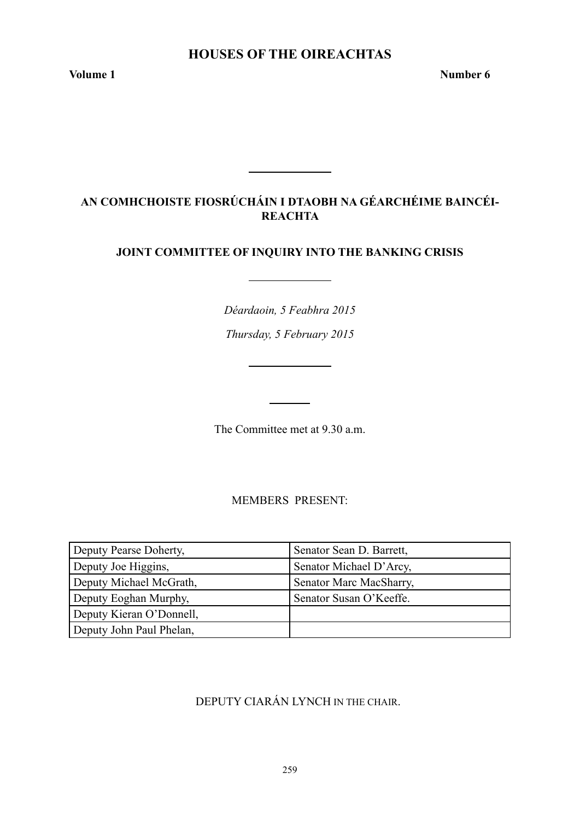# **Houses of the Oireachtas**

**Volume 1 Number 6** 

# **AN COMHCHOISTE FIOSRÚCHÁIN I DTAOBH NA GÉARCHÉIME BAINCÉI-REACHTA**

# **JOINT COMMITTEE OF INQUIRY INTO THE BANKING CRISIS**

*Déardaoin, 5 Feabhra 2015*

*Thursday, 5 February 2015*

The Committee met at 9.30 a.m.

MEMBERS PRESENT:

| Deputy Pearse Doherty,   | Senator Sean D. Barrett, |
|--------------------------|--------------------------|
| Deputy Joe Higgins,      | Senator Michael D'Arcy,  |
| Deputy Michael McGrath,  | Senator Marc MacSharry,  |
| Deputy Eoghan Murphy,    | Senator Susan O'Keeffe.  |
| Deputy Kieran O'Donnell, |                          |
| Deputy John Paul Phelan, |                          |

# DEPUTY CIARÁN LYNCH IN THE CHAIR.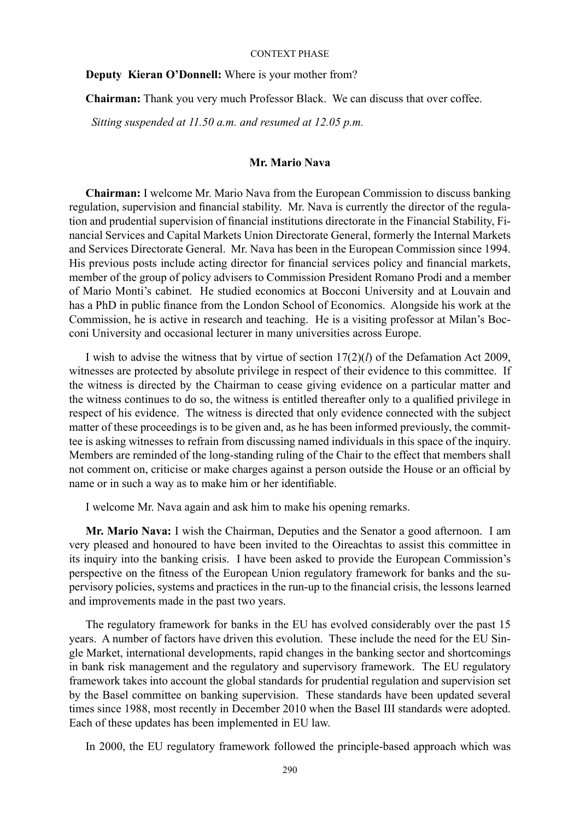**Deputy Kieran O'Donnell:** Where is your mother from?

**Chairman:** Thank you very much Professor Black. We can discuss that over coffee.

 *Sitting suspended at 11.50 a.m. and resumed at 12.05 p.m.*

## **Mr. Mario Nava**

**Chairman:** I welcome Mr. Mario Nava from the European Commission to discuss banking regulation, supervision and financial stability. Mr. Nava is currently the director of the regulation and prudential supervision of financial institutions directorate in the Financial Stability, Financial Services and Capital Markets Union Directorate General, formerly the Internal Markets and Services Directorate General. Mr. Nava has been in the European Commission since 1994. His previous posts include acting director for financial services policy and financial markets, member of the group of policy advisers to Commission President Romano Prodi and a member of Mario Monti's cabinet. He studied economics at Bocconi University and at Louvain and has a PhD in public finance from the London School of Economics. Alongside his work at the Commission, he is active in research and teaching. He is a visiting professor at Milan's Bocconi University and occasional lecturer in many universities across Europe.

I wish to advise the witness that by virtue of section 17(2)(*l*) of the Defamation Act 2009, witnesses are protected by absolute privilege in respect of their evidence to this committee. If the witness is directed by the Chairman to cease giving evidence on a particular matter and the witness continues to do so, the witness is entitled thereafter only to a qualified privilege in respect of his evidence. The witness is directed that only evidence connected with the subject matter of these proceedings is to be given and, as he has been informed previously, the committee is asking witnesses to refrain from discussing named individuals in this space of the inquiry. Members are reminded of the long-standing ruling of the Chair to the effect that members shall not comment on, criticise or make charges against a person outside the House or an official by name or in such a way as to make him or her identifiable.

I welcome Mr. Nava again and ask him to make his opening remarks.

**Mr. Mario Nava:** I wish the Chairman, Deputies and the Senator a good afternoon. I am very pleased and honoured to have been invited to the Oireachtas to assist this committee in its inquiry into the banking crisis. I have been asked to provide the European Commission's perspective on the fitness of the European Union regulatory framework for banks and the supervisory policies, systems and practices in the run-up to the financial crisis, the lessons learned and improvements made in the past two years.

The regulatory framework for banks in the EU has evolved considerably over the past 15 years. A number of factors have driven this evolution. These include the need for the EU Single Market, international developments, rapid changes in the banking sector and shortcomings in bank risk management and the regulatory and supervisory framework. The EU regulatory framework takes into account the global standards for prudential regulation and supervision set by the Basel committee on banking supervision. These standards have been updated several times since 1988, most recently in December 2010 when the Basel III standards were adopted. Each of these updates has been implemented in EU law.

In 2000, the EU regulatory framework followed the principle-based approach which was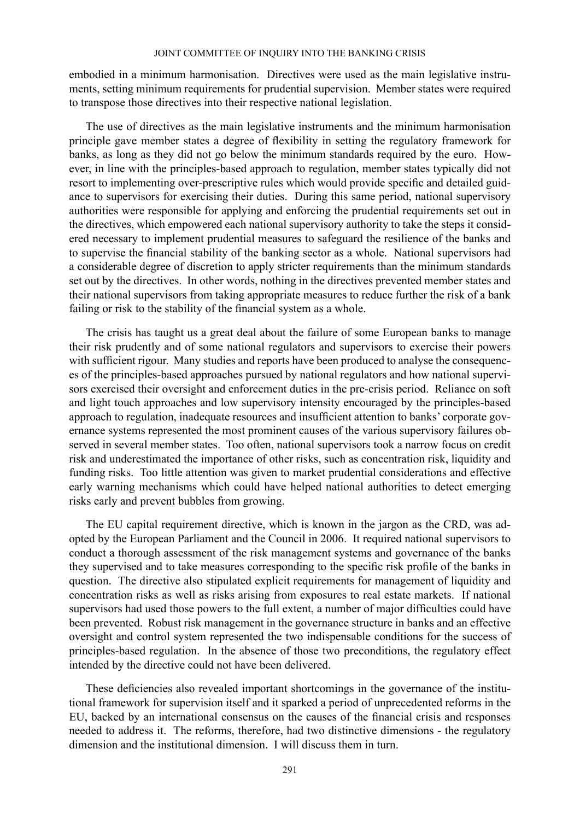embodied in a minimum harmonisation. Directives were used as the main legislative instruments, setting minimum requirements for prudential supervision. Member states were required to transpose those directives into their respective national legislation.

The use of directives as the main legislative instruments and the minimum harmonisation principle gave member states a degree of flexibility in setting the regulatory framework for banks, as long as they did not go below the minimum standards required by the euro. However, in line with the principles-based approach to regulation, member states typically did not resort to implementing over-prescriptive rules which would provide specific and detailed guidance to supervisors for exercising their duties. During this same period, national supervisory authorities were responsible for applying and enforcing the prudential requirements set out in the directives, which empowered each national supervisory authority to take the steps it considered necessary to implement prudential measures to safeguard the resilience of the banks and to supervise the financial stability of the banking sector as a whole. National supervisors had a considerable degree of discretion to apply stricter requirements than the minimum standards set out by the directives. In other words, nothing in the directives prevented member states and their national supervisors from taking appropriate measures to reduce further the risk of a bank failing or risk to the stability of the financial system as a whole.

The crisis has taught us a great deal about the failure of some European banks to manage their risk prudently and of some national regulators and supervisors to exercise their powers with sufficient rigour. Many studies and reports have been produced to analyse the consequences of the principles-based approaches pursued by national regulators and how national supervisors exercised their oversight and enforcement duties in the pre-crisis period. Reliance on soft and light touch approaches and low supervisory intensity encouraged by the principles-based approach to regulation, inadequate resources and insufficient attention to banks' corporate governance systems represented the most prominent causes of the various supervisory failures observed in several member states. Too often, national supervisors took a narrow focus on credit risk and underestimated the importance of other risks, such as concentration risk, liquidity and funding risks. Too little attention was given to market prudential considerations and effective early warning mechanisms which could have helped national authorities to detect emerging risks early and prevent bubbles from growing.

The EU capital requirement directive, which is known in the jargon as the CRD, was adopted by the European Parliament and the Council in 2006. It required national supervisors to conduct a thorough assessment of the risk management systems and governance of the banks they supervised and to take measures corresponding to the specific risk profile of the banks in question. The directive also stipulated explicit requirements for management of liquidity and concentration risks as well as risks arising from exposures to real estate markets. If national supervisors had used those powers to the full extent, a number of major difficulties could have been prevented. Robust risk management in the governance structure in banks and an effective oversight and control system represented the two indispensable conditions for the success of principles-based regulation. In the absence of those two preconditions, the regulatory effect intended by the directive could not have been delivered.

These deficiencies also revealed important shortcomings in the governance of the institutional framework for supervision itself and it sparked a period of unprecedented reforms in the EU, backed by an international consensus on the causes of the financial crisis and responses needed to address it. The reforms, therefore, had two distinctive dimensions - the regulatory dimension and the institutional dimension. I will discuss them in turn.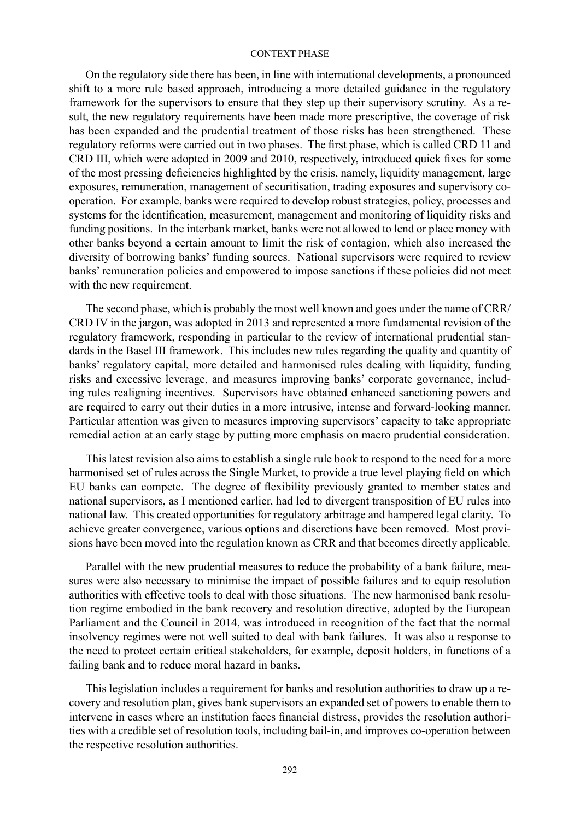On the regulatory side there has been, in line with international developments, a pronounced shift to a more rule based approach, introducing a more detailed guidance in the regulatory framework for the supervisors to ensure that they step up their supervisory scrutiny. As a result, the new regulatory requirements have been made more prescriptive, the coverage of risk has been expanded and the prudential treatment of those risks has been strengthened. These regulatory reforms were carried out in two phases. The first phase, which is called CRD 11 and CRD III, which were adopted in 2009 and 2010, respectively, introduced quick fixes for some of the most pressing deficiencies highlighted by the crisis, namely, liquidity management, large exposures, remuneration, management of securitisation, trading exposures and supervisory cooperation. For example, banks were required to develop robust strategies, policy, processes and systems for the identification, measurement, management and monitoring of liquidity risks and funding positions. In the interbank market, banks were not allowed to lend or place money with other banks beyond a certain amount to limit the risk of contagion, which also increased the diversity of borrowing banks' funding sources. National supervisors were required to review banks' remuneration policies and empowered to impose sanctions if these policies did not meet with the new requirement.

The second phase, which is probably the most well known and goes under the name of CRR/ CRD IV in the jargon, was adopted in 2013 and represented a more fundamental revision of the regulatory framework, responding in particular to the review of international prudential standards in the Basel III framework. This includes new rules regarding the quality and quantity of banks' regulatory capital, more detailed and harmonised rules dealing with liquidity, funding risks and excessive leverage, and measures improving banks' corporate governance, including rules realigning incentives. Supervisors have obtained enhanced sanctioning powers and are required to carry out their duties in a more intrusive, intense and forward-looking manner. Particular attention was given to measures improving supervisors' capacity to take appropriate remedial action at an early stage by putting more emphasis on macro prudential consideration.

This latest revision also aims to establish a single rule book to respond to the need for a more harmonised set of rules across the Single Market, to provide a true level playing field on which EU banks can compete. The degree of flexibility previously granted to member states and national supervisors, as I mentioned earlier, had led to divergent transposition of EU rules into national law. This created opportunities for regulatory arbitrage and hampered legal clarity. To achieve greater convergence, various options and discretions have been removed. Most provisions have been moved into the regulation known as CRR and that becomes directly applicable.

Parallel with the new prudential measures to reduce the probability of a bank failure, measures were also necessary to minimise the impact of possible failures and to equip resolution authorities with effective tools to deal with those situations. The new harmonised bank resolution regime embodied in the bank recovery and resolution directive, adopted by the European Parliament and the Council in 2014, was introduced in recognition of the fact that the normal insolvency regimes were not well suited to deal with bank failures. It was also a response to the need to protect certain critical stakeholders, for example, deposit holders, in functions of a failing bank and to reduce moral hazard in banks.

This legislation includes a requirement for banks and resolution authorities to draw up a recovery and resolution plan, gives bank supervisors an expanded set of powers to enable them to intervene in cases where an institution faces financial distress, provides the resolution authorities with a credible set of resolution tools, including bail-in, and improves co-operation between the respective resolution authorities.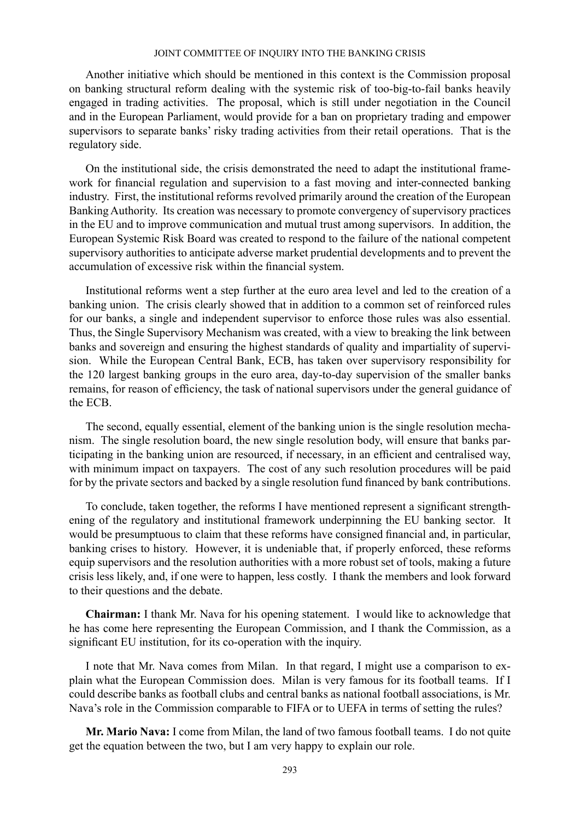Another initiative which should be mentioned in this context is the Commission proposal on banking structural reform dealing with the systemic risk of too-big-to-fail banks heavily engaged in trading activities. The proposal, which is still under negotiation in the Council and in the European Parliament, would provide for a ban on proprietary trading and empower supervisors to separate banks' risky trading activities from their retail operations. That is the regulatory side.

On the institutional side, the crisis demonstrated the need to adapt the institutional framework for financial regulation and supervision to a fast moving and inter-connected banking industry. First, the institutional reforms revolved primarily around the creation of the European Banking Authority. Its creation was necessary to promote convergency of supervisory practices in the EU and to improve communication and mutual trust among supervisors. In addition, the European Systemic Risk Board was created to respond to the failure of the national competent supervisory authorities to anticipate adverse market prudential developments and to prevent the accumulation of excessive risk within the financial system.

Institutional reforms went a step further at the euro area level and led to the creation of a banking union. The crisis clearly showed that in addition to a common set of reinforced rules for our banks, a single and independent supervisor to enforce those rules was also essential. Thus, the Single Supervisory Mechanism was created, with a view to breaking the link between banks and sovereign and ensuring the highest standards of quality and impartiality of supervision. While the European Central Bank, ECB, has taken over supervisory responsibility for the 120 largest banking groups in the euro area, day-to-day supervision of the smaller banks remains, for reason of efficiency, the task of national supervisors under the general guidance of the ECB.

The second, equally essential, element of the banking union is the single resolution mechanism. The single resolution board, the new single resolution body, will ensure that banks participating in the banking union are resourced, if necessary, in an efficient and centralised way, with minimum impact on taxpayers. The cost of any such resolution procedures will be paid for by the private sectors and backed by a single resolution fund financed by bank contributions.

To conclude, taken together, the reforms I have mentioned represent a significant strengthening of the regulatory and institutional framework underpinning the EU banking sector. It would be presumptuous to claim that these reforms have consigned financial and, in particular, banking crises to history. However, it is undeniable that, if properly enforced, these reforms equip supervisors and the resolution authorities with a more robust set of tools, making a future crisis less likely, and, if one were to happen, less costly. I thank the members and look forward to their questions and the debate.

**Chairman:** I thank Mr. Nava for his opening statement. I would like to acknowledge that he has come here representing the European Commission, and I thank the Commission, as a significant EU institution, for its co-operation with the inquiry.

I note that Mr. Nava comes from Milan. In that regard, I might use a comparison to explain what the European Commission does. Milan is very famous for its football teams. If I could describe banks as football clubs and central banks as national football associations, is Mr. Nava's role in the Commission comparable to FIFA or to UEFA in terms of setting the rules?

**Mr. Mario Nava:** I come from Milan, the land of two famous football teams. I do not quite get the equation between the two, but I am very happy to explain our role.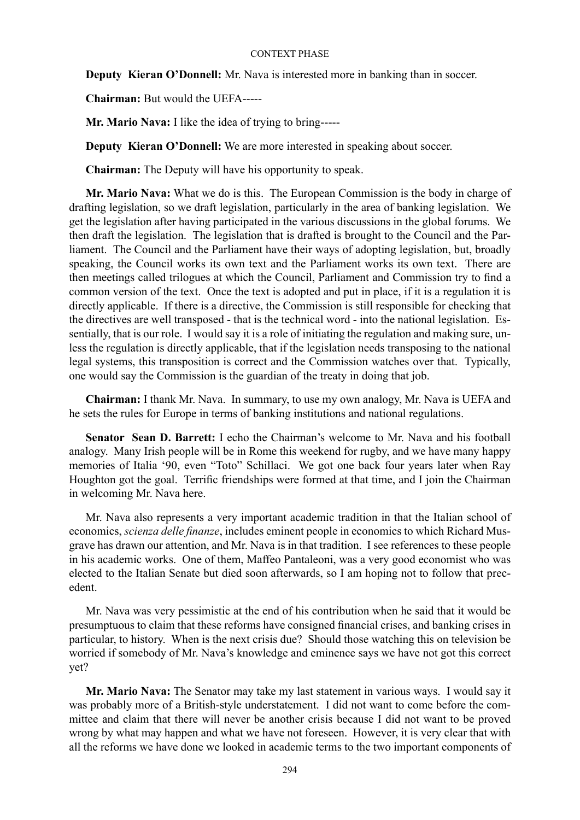**Deputy Kieran O'Donnell:** Mr. Nava is interested more in banking than in soccer.

**Chairman:** But would the UEFA-----

**Mr. Mario Nava:** I like the idea of trying to bring-----

**Deputy Kieran O'Donnell:** We are more interested in speaking about soccer.

**Chairman:** The Deputy will have his opportunity to speak.

**Mr. Mario Nava:** What we do is this. The European Commission is the body in charge of drafting legislation, so we draft legislation, particularly in the area of banking legislation. We get the legislation after having participated in the various discussions in the global forums. We then draft the legislation. The legislation that is drafted is brought to the Council and the Parliament. The Council and the Parliament have their ways of adopting legislation, but, broadly speaking, the Council works its own text and the Parliament works its own text. There are then meetings called trilogues at which the Council, Parliament and Commission try to find a common version of the text. Once the text is adopted and put in place, if it is a regulation it is directly applicable. If there is a directive, the Commission is still responsible for checking that the directives are well transposed - that is the technical word - into the national legislation. Essentially, that is our role. I would say it is a role of initiating the regulation and making sure, unless the regulation is directly applicable, that if the legislation needs transposing to the national legal systems, this transposition is correct and the Commission watches over that. Typically, one would say the Commission is the guardian of the treaty in doing that job.

**Chairman:** I thank Mr. Nava. In summary, to use my own analogy, Mr. Nava is UEFA and he sets the rules for Europe in terms of banking institutions and national regulations.

**Senator Sean D. Barrett:** I echo the Chairman's welcome to Mr. Nava and his football analogy. Many Irish people will be in Rome this weekend for rugby, and we have many happy memories of Italia '90, even "Toto" Schillaci. We got one back four years later when Ray Houghton got the goal. Terrific friendships were formed at that time, and I join the Chairman in welcoming Mr. Nava here.

Mr. Nava also represents a very important academic tradition in that the Italian school of economics, *scienza delle finanze*, includes eminent people in economics to which Richard Musgrave has drawn our attention, and Mr. Nava is in that tradition. I see references to these people in his academic works. One of them, Maffeo Pantaleoni, was a very good economist who was elected to the Italian Senate but died soon afterwards, so I am hoping not to follow that precedent.

Mr. Nava was very pessimistic at the end of his contribution when he said that it would be presumptuous to claim that these reforms have consigned financial crises, and banking crises in particular, to history. When is the next crisis due? Should those watching this on television be worried if somebody of Mr. Nava's knowledge and eminence says we have not got this correct yet?

**Mr. Mario Nava:** The Senator may take my last statement in various ways. I would say it was probably more of a British-style understatement. I did not want to come before the committee and claim that there will never be another crisis because I did not want to be proved wrong by what may happen and what we have not foreseen. However, it is very clear that with all the reforms we have done we looked in academic terms to the two important components of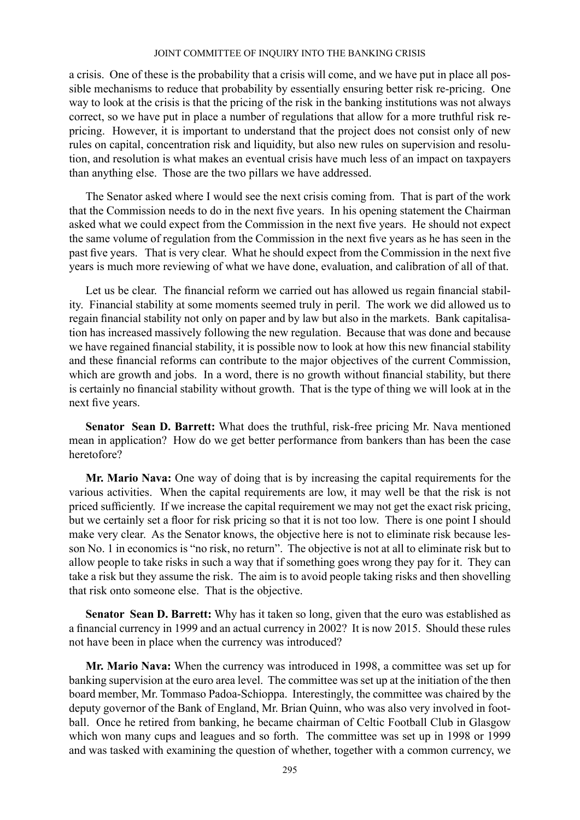a crisis. One of these is the probability that a crisis will come, and we have put in place all possible mechanisms to reduce that probability by essentially ensuring better risk re-pricing. One way to look at the crisis is that the pricing of the risk in the banking institutions was not always correct, so we have put in place a number of regulations that allow for a more truthful risk repricing. However, it is important to understand that the project does not consist only of new rules on capital, concentration risk and liquidity, but also new rules on supervision and resolution, and resolution is what makes an eventual crisis have much less of an impact on taxpayers than anything else. Those are the two pillars we have addressed.

The Senator asked where I would see the next crisis coming from. That is part of the work that the Commission needs to do in the next five years. In his opening statement the Chairman asked what we could expect from the Commission in the next five years. He should not expect the same volume of regulation from the Commission in the next five years as he has seen in the past five years. That is very clear. What he should expect from the Commission in the next five years is much more reviewing of what we have done, evaluation, and calibration of all of that.

Let us be clear. The financial reform we carried out has allowed us regain financial stability. Financial stability at some moments seemed truly in peril. The work we did allowed us to regain financial stability not only on paper and by law but also in the markets. Bank capitalisation has increased massively following the new regulation. Because that was done and because we have regained financial stability, it is possible now to look at how this new financial stability and these financial reforms can contribute to the major objectives of the current Commission, which are growth and jobs. In a word, there is no growth without financial stability, but there is certainly no financial stability without growth. That is the type of thing we will look at in the next five years.

**Senator Sean D. Barrett:** What does the truthful, risk-free pricing Mr. Nava mentioned mean in application? How do we get better performance from bankers than has been the case heretofore?

**Mr. Mario Nava:** One way of doing that is by increasing the capital requirements for the various activities. When the capital requirements are low, it may well be that the risk is not priced sufficiently. If we increase the capital requirement we may not get the exact risk pricing, but we certainly set a floor for risk pricing so that it is not too low. There is one point I should make very clear. As the Senator knows, the objective here is not to eliminate risk because lesson No. 1 in economics is "no risk, no return". The objective is not at all to eliminate risk but to allow people to take risks in such a way that if something goes wrong they pay for it. They can take a risk but they assume the risk. The aim is to avoid people taking risks and then shovelling that risk onto someone else. That is the objective.

**Senator Sean D. Barrett:** Why has it taken so long, given that the euro was established as a financial currency in 1999 and an actual currency in 2002? It is now 2015. Should these rules not have been in place when the currency was introduced?

**Mr. Mario Nava:** When the currency was introduced in 1998, a committee was set up for banking supervision at the euro area level. The committee was set up at the initiation of the then board member, Mr. Tommaso Padoa-Schioppa. Interestingly, the committee was chaired by the deputy governor of the Bank of England, Mr. Brian Quinn, who was also very involved in football. Once he retired from banking, he became chairman of Celtic Football Club in Glasgow which won many cups and leagues and so forth. The committee was set up in 1998 or 1999 and was tasked with examining the question of whether, together with a common currency, we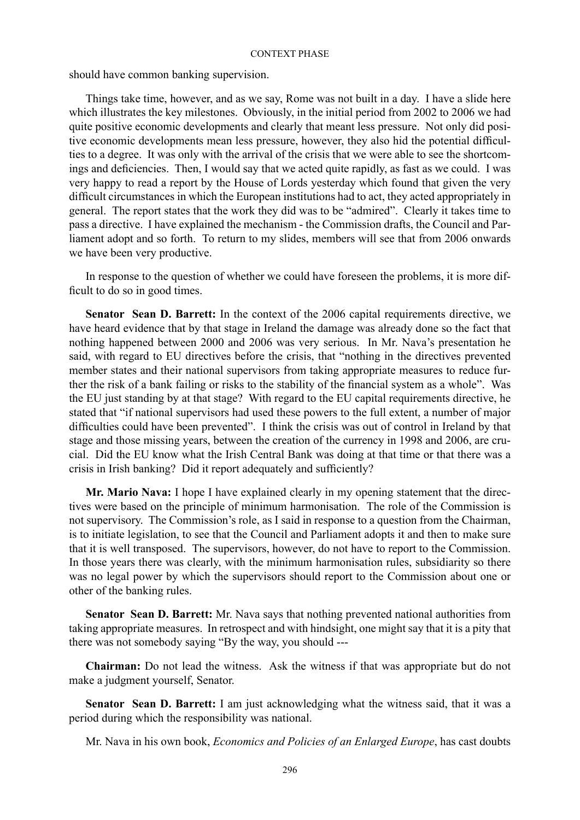should have common banking supervision.

Things take time, however, and as we say, Rome was not built in a day. I have a slide here which illustrates the key milestones. Obviously, in the initial period from 2002 to 2006 we had quite positive economic developments and clearly that meant less pressure. Not only did positive economic developments mean less pressure, however, they also hid the potential difficulties to a degree. It was only with the arrival of the crisis that we were able to see the shortcomings and deficiencies. Then, I would say that we acted quite rapidly, as fast as we could. I was very happy to read a report by the House of Lords yesterday which found that given the very difficult circumstances in which the European institutions had to act, they acted appropriately in general. The report states that the work they did was to be "admired". Clearly it takes time to pass a directive. I have explained the mechanism - the Commission drafts, the Council and Parliament adopt and so forth. To return to my slides, members will see that from 2006 onwards we have been very productive.

In response to the question of whether we could have foreseen the problems, it is more difficult to do so in good times.

**Senator Sean D. Barrett:** In the context of the 2006 capital requirements directive, we have heard evidence that by that stage in Ireland the damage was already done so the fact that nothing happened between 2000 and 2006 was very serious. In Mr. Nava's presentation he said, with regard to EU directives before the crisis, that "nothing in the directives prevented member states and their national supervisors from taking appropriate measures to reduce further the risk of a bank failing or risks to the stability of the financial system as a whole". Was the EU just standing by at that stage? With regard to the EU capital requirements directive, he stated that "if national supervisors had used these powers to the full extent, a number of major difficulties could have been prevented". I think the crisis was out of control in Ireland by that stage and those missing years, between the creation of the currency in 1998 and 2006, are crucial. Did the EU know what the Irish Central Bank was doing at that time or that there was a crisis in Irish banking? Did it report adequately and sufficiently?

**Mr. Mario Nava:** I hope I have explained clearly in my opening statement that the directives were based on the principle of minimum harmonisation. The role of the Commission is not supervisory. The Commission's role, as I said in response to a question from the Chairman, is to initiate legislation, to see that the Council and Parliament adopts it and then to make sure that it is well transposed. The supervisors, however, do not have to report to the Commission. In those years there was clearly, with the minimum harmonisation rules, subsidiarity so there was no legal power by which the supervisors should report to the Commission about one or other of the banking rules.

**Senator Sean D. Barrett:** Mr. Nava says that nothing prevented national authorities from taking appropriate measures. In retrospect and with hindsight, one might say that it is a pity that there was not somebody saying "By the way, you should ---

**Chairman:** Do not lead the witness. Ask the witness if that was appropriate but do not make a judgment yourself, Senator.

**Senator Sean D. Barrett:** I am just acknowledging what the witness said, that it was a period during which the responsibility was national.

Mr. Nava in his own book, *Economics and Policies of an Enlarged Europe*, has cast doubts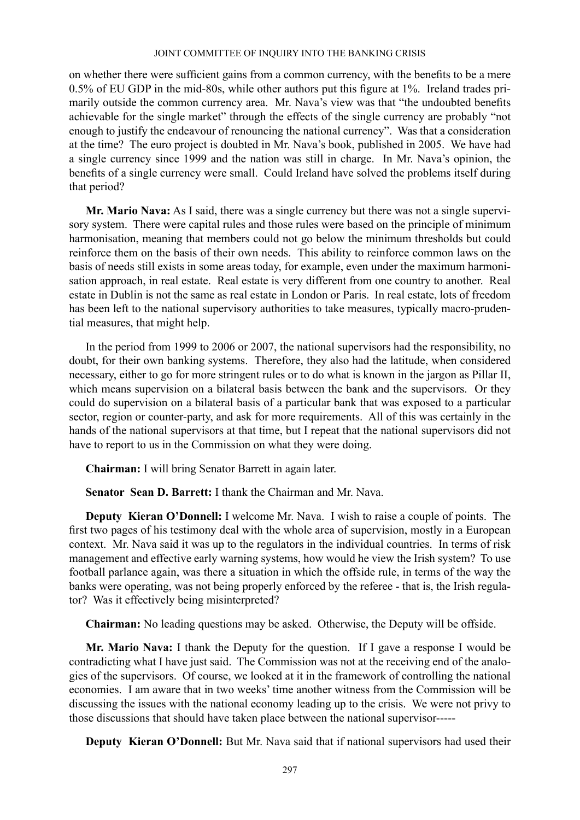on whether there were sufficient gains from a common currency, with the benefits to be a mere 0.5% of EU GDP in the mid-80s, while other authors put this figure at 1%. Ireland trades primarily outside the common currency area. Mr. Nava's view was that "the undoubted benefits achievable for the single market" through the effects of the single currency are probably "not enough to justify the endeavour of renouncing the national currency". Was that a consideration at the time? The euro project is doubted in Mr. Nava's book, published in 2005. We have had a single currency since 1999 and the nation was still in charge. In Mr. Nava's opinion, the benefits of a single currency were small. Could Ireland have solved the problems itself during that period?

**Mr. Mario Nava:** As I said, there was a single currency but there was not a single supervisory system. There were capital rules and those rules were based on the principle of minimum harmonisation, meaning that members could not go below the minimum thresholds but could reinforce them on the basis of their own needs. This ability to reinforce common laws on the basis of needs still exists in some areas today, for example, even under the maximum harmonisation approach, in real estate. Real estate is very different from one country to another. Real estate in Dublin is not the same as real estate in London or Paris. In real estate, lots of freedom has been left to the national supervisory authorities to take measures, typically macro-prudential measures, that might help.

In the period from 1999 to 2006 or 2007, the national supervisors had the responsibility, no doubt, for their own banking systems. Therefore, they also had the latitude, when considered necessary, either to go for more stringent rules or to do what is known in the jargon as Pillar II, which means supervision on a bilateral basis between the bank and the supervisors. Or they could do supervision on a bilateral basis of a particular bank that was exposed to a particular sector, region or counter-party, and ask for more requirements. All of this was certainly in the hands of the national supervisors at that time, but I repeat that the national supervisors did not have to report to us in the Commission on what they were doing.

**Chairman:** I will bring Senator Barrett in again later.

**Senator Sean D. Barrett:** I thank the Chairman and Mr. Nava.

**Deputy Kieran O'Donnell:** I welcome Mr. Nava. I wish to raise a couple of points. The first two pages of his testimony deal with the whole area of supervision, mostly in a European context. Mr. Nava said it was up to the regulators in the individual countries. In terms of risk management and effective early warning systems, how would he view the Irish system? To use football parlance again, was there a situation in which the offside rule, in terms of the way the banks were operating, was not being properly enforced by the referee - that is, the Irish regulator? Was it effectively being misinterpreted?

**Chairman:** No leading questions may be asked. Otherwise, the Deputy will be offside.

**Mr. Mario Nava:** I thank the Deputy for the question. If I gave a response I would be contradicting what I have just said. The Commission was not at the receiving end of the analogies of the supervisors. Of course, we looked at it in the framework of controlling the national economies. I am aware that in two weeks' time another witness from the Commission will be discussing the issues with the national economy leading up to the crisis. We were not privy to those discussions that should have taken place between the national supervisor-----

**Deputy Kieran O'Donnell:** But Mr. Nava said that if national supervisors had used their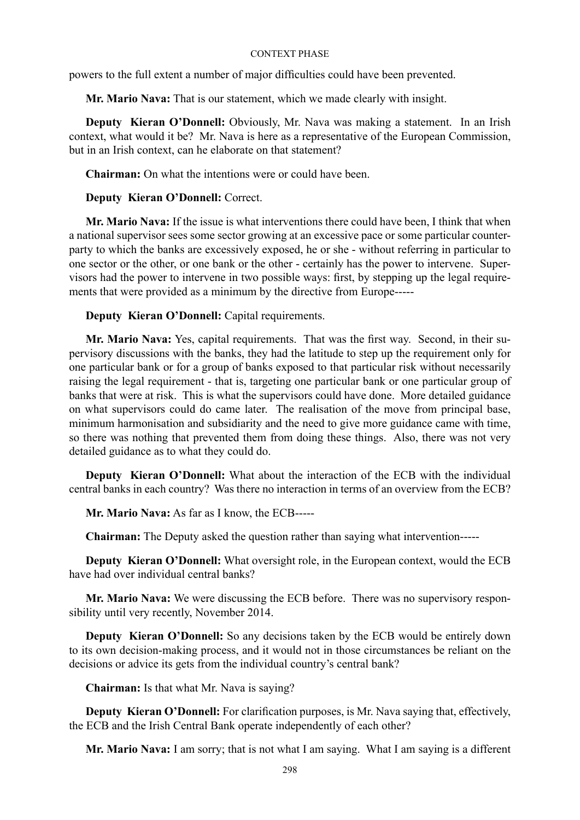powers to the full extent a number of major difficulties could have been prevented.

**Mr. Mario Nava:** That is our statement, which we made clearly with insight.

**Deputy Kieran O'Donnell:** Obviously, Mr. Nava was making a statement. In an Irish context, what would it be? Mr. Nava is here as a representative of the European Commission, but in an Irish context, can he elaborate on that statement?

**Chairman:** On what the intentions were or could have been.

# **Deputy Kieran O'Donnell:** Correct.

**Mr. Mario Nava:** If the issue is what interventions there could have been, I think that when a national supervisor sees some sector growing at an excessive pace or some particular counterparty to which the banks are excessively exposed, he or she - without referring in particular to one sector or the other, or one bank or the other - certainly has the power to intervene. Supervisors had the power to intervene in two possible ways: first, by stepping up the legal requirements that were provided as a minimum by the directive from Europe-----

**Deputy Kieran O'Donnell:** Capital requirements.

**Mr. Mario Nava:** Yes, capital requirements. That was the first way. Second, in their supervisory discussions with the banks, they had the latitude to step up the requirement only for one particular bank or for a group of banks exposed to that particular risk without necessarily raising the legal requirement - that is, targeting one particular bank or one particular group of banks that were at risk. This is what the supervisors could have done. More detailed guidance on what supervisors could do came later. The realisation of the move from principal base, minimum harmonisation and subsidiarity and the need to give more guidance came with time, so there was nothing that prevented them from doing these things. Also, there was not very detailed guidance as to what they could do.

**Deputy Kieran O'Donnell:** What about the interaction of the ECB with the individual central banks in each country? Was there no interaction in terms of an overview from the ECB?

**Mr. Mario Nava:** As far as I know, the ECB-----

**Chairman:** The Deputy asked the question rather than saying what intervention-----

**Deputy Kieran O'Donnell:** What oversight role, in the European context, would the ECB have had over individual central banks?

**Mr. Mario Nava:** We were discussing the ECB before. There was no supervisory responsibility until very recently, November 2014.

**Deputy Kieran O'Donnell:** So any decisions taken by the ECB would be entirely down to its own decision-making process, and it would not in those circumstances be reliant on the decisions or advice its gets from the individual country's central bank?

**Chairman:** Is that what Mr. Nava is saying?

**Deputy Kieran O'Donnell:** For clarification purposes, is Mr. Nava saying that, effectively, the ECB and the Irish Central Bank operate independently of each other?

**Mr. Mario Nava:** I am sorry; that is not what I am saying. What I am saying is a different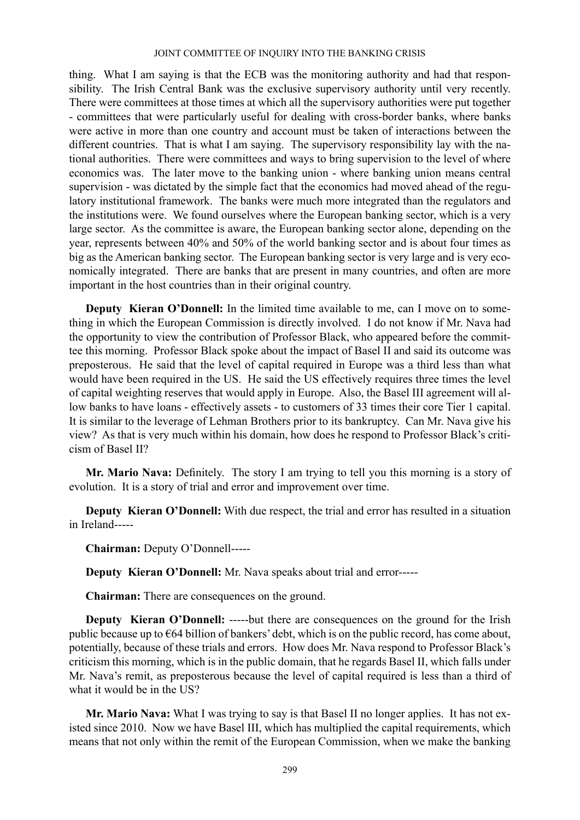thing. What I am saying is that the ECB was the monitoring authority and had that responsibility. The Irish Central Bank was the exclusive supervisory authority until very recently. There were committees at those times at which all the supervisory authorities were put together - committees that were particularly useful for dealing with cross-border banks, where banks were active in more than one country and account must be taken of interactions between the different countries. That is what I am saying. The supervisory responsibility lay with the national authorities. There were committees and ways to bring supervision to the level of where economics was. The later move to the banking union - where banking union means central supervision - was dictated by the simple fact that the economics had moved ahead of the regulatory institutional framework. The banks were much more integrated than the regulators and the institutions were. We found ourselves where the European banking sector, which is a very large sector. As the committee is aware, the European banking sector alone, depending on the year, represents between 40% and 50% of the world banking sector and is about four times as big as the American banking sector. The European banking sector is very large and is very economically integrated. There are banks that are present in many countries, and often are more important in the host countries than in their original country.

**Deputy Kieran O'Donnell:** In the limited time available to me, can I move on to something in which the European Commission is directly involved. I do not know if Mr. Nava had the opportunity to view the contribution of Professor Black, who appeared before the committee this morning. Professor Black spoke about the impact of Basel II and said its outcome was preposterous. He said that the level of capital required in Europe was a third less than what would have been required in the US. He said the US effectively requires three times the level of capital weighting reserves that would apply in Europe. Also, the Basel III agreement will allow banks to have loans - effectively assets - to customers of 33 times their core Tier 1 capital. It is similar to the leverage of Lehman Brothers prior to its bankruptcy. Can Mr. Nava give his view? As that is very much within his domain, how does he respond to Professor Black's criticism of Basel II?

**Mr. Mario Nava:** Definitely. The story I am trying to tell you this morning is a story of evolution. It is a story of trial and error and improvement over time.

**Deputy Kieran O'Donnell:** With due respect, the trial and error has resulted in a situation in Ireland-----

**Chairman:** Deputy O'Donnell-----

**Deputy Kieran O'Donnell:** Mr. Nava speaks about trial and error-----

**Chairman:** There are consequences on the ground.

**Deputy** Kieran O'Donnell: -----but there are consequences on the ground for the Irish public because up to €64 billion of bankers' debt, which is on the public record, has come about, potentially, because of these trials and errors. How does Mr. Nava respond to Professor Black's criticism this morning, which is in the public domain, that he regards Basel II, which falls under Mr. Nava's remit, as preposterous because the level of capital required is less than a third of what it would be in the US?

**Mr. Mario Nava:** What I was trying to say is that Basel II no longer applies. It has not existed since 2010. Now we have Basel III, which has multiplied the capital requirements, which means that not only within the remit of the European Commission, when we make the banking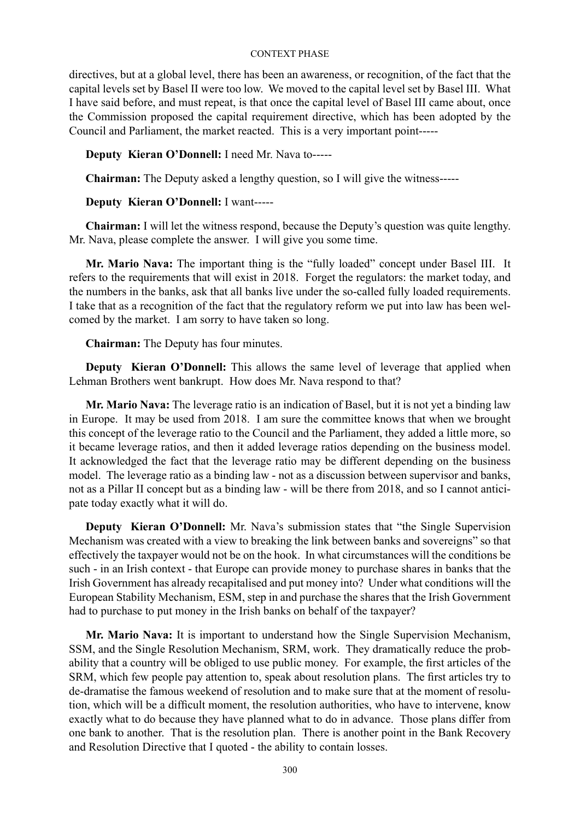directives, but at a global level, there has been an awareness, or recognition, of the fact that the capital levels set by Basel II were too low. We moved to the capital level set by Basel III. What I have said before, and must repeat, is that once the capital level of Basel III came about, once the Commission proposed the capital requirement directive, which has been adopted by the Council and Parliament, the market reacted. This is a very important point-----

# **Deputy Kieran O'Donnell:** I need Mr. Nava to-----

**Chairman:** The Deputy asked a lengthy question, so I will give the witness-----

# **Deputy Kieran O'Donnell:** I want-----

**Chairman:** I will let the witness respond, because the Deputy's question was quite lengthy. Mr. Nava, please complete the answer. I will give you some time.

**Mr. Mario Nava:** The important thing is the "fully loaded" concept under Basel III. It refers to the requirements that will exist in 2018. Forget the regulators: the market today, and the numbers in the banks, ask that all banks live under the so-called fully loaded requirements. I take that as a recognition of the fact that the regulatory reform we put into law has been welcomed by the market. I am sorry to have taken so long.

**Chairman:** The Deputy has four minutes.

**Deputy** Kieran O'Donnell: This allows the same level of leverage that applied when Lehman Brothers went bankrupt. How does Mr. Nava respond to that?

**Mr. Mario Nava:** The leverage ratio is an indication of Basel, but it is not yet a binding law in Europe. It may be used from 2018. I am sure the committee knows that when we brought this concept of the leverage ratio to the Council and the Parliament, they added a little more, so it became leverage ratios, and then it added leverage ratios depending on the business model. It acknowledged the fact that the leverage ratio may be different depending on the business model. The leverage ratio as a binding law - not as a discussion between supervisor and banks, not as a Pillar II concept but as a binding law - will be there from 2018, and so I cannot anticipate today exactly what it will do.

**Deputy Kieran O'Donnell:** Mr. Nava's submission states that "the Single Supervision" Mechanism was created with a view to breaking the link between banks and sovereigns" so that effectively the taxpayer would not be on the hook. In what circumstances will the conditions be such - in an Irish context - that Europe can provide money to purchase shares in banks that the Irish Government has already recapitalised and put money into? Under what conditions will the European Stability Mechanism, ESM, step in and purchase the shares that the Irish Government had to purchase to put money in the Irish banks on behalf of the taxpayer?

**Mr. Mario Nava:** It is important to understand how the Single Supervision Mechanism, SSM, and the Single Resolution Mechanism, SRM, work. They dramatically reduce the probability that a country will be obliged to use public money. For example, the first articles of the SRM, which few people pay attention to, speak about resolution plans. The first articles try to de-dramatise the famous weekend of resolution and to make sure that at the moment of resolution, which will be a difficult moment, the resolution authorities, who have to intervene, know exactly what to do because they have planned what to do in advance. Those plans differ from one bank to another. That is the resolution plan. There is another point in the Bank Recovery and Resolution Directive that I quoted - the ability to contain losses.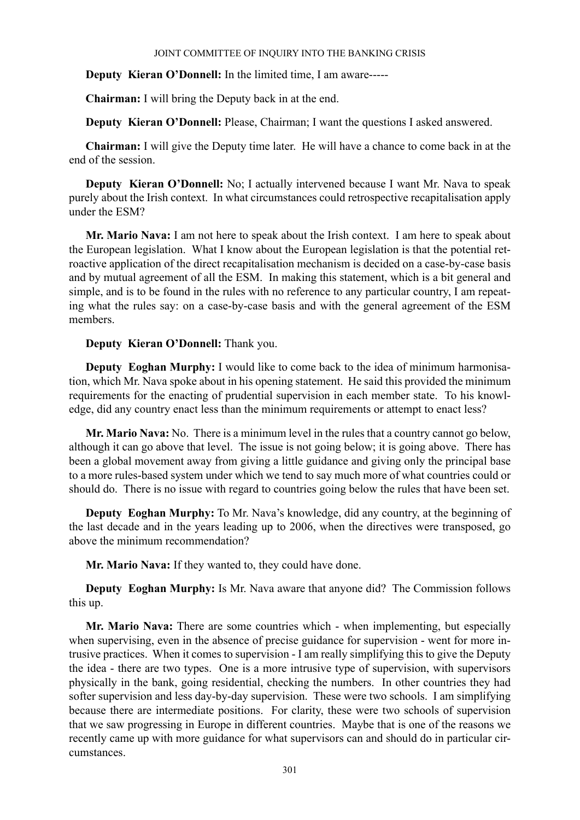**Deputy Kieran O'Donnell:** In the limited time, I am aware-----

**Chairman:** I will bring the Deputy back in at the end.

**Deputy Kieran O'Donnell:** Please, Chairman; I want the questions I asked answered.

**Chairman:** I will give the Deputy time later. He will have a chance to come back in at the end of the session.

**Deputy Kieran O'Donnell:** No; I actually intervened because I want Mr. Nava to speak purely about the Irish context. In what circumstances could retrospective recapitalisation apply under the ESM?

**Mr. Mario Nava:** I am not here to speak about the Irish context. I am here to speak about the European legislation. What I know about the European legislation is that the potential retroactive application of the direct recapitalisation mechanism is decided on a case-by-case basis and by mutual agreement of all the ESM. In making this statement, which is a bit general and simple, and is to be found in the rules with no reference to any particular country, I am repeating what the rules say: on a case-by-case basis and with the general agreement of the ESM members.

# **Deputy Kieran O'Donnell:** Thank you.

**Deputy Eoghan Murphy:** I would like to come back to the idea of minimum harmonisation, which Mr. Nava spoke about in his opening statement. He said this provided the minimum requirements for the enacting of prudential supervision in each member state. To his knowledge, did any country enact less than the minimum requirements or attempt to enact less?

**Mr. Mario Nava:** No. There is a minimum level in the rules that a country cannot go below, although it can go above that level. The issue is not going below; it is going above. There has been a global movement away from giving a little guidance and giving only the principal base to a more rules-based system under which we tend to say much more of what countries could or should do. There is no issue with regard to countries going below the rules that have been set.

**Deputy Eoghan Murphy:** To Mr. Nava's knowledge, did any country, at the beginning of the last decade and in the years leading up to 2006, when the directives were transposed, go above the minimum recommendation?

**Mr. Mario Nava:** If they wanted to, they could have done.

**Deputy Eoghan Murphy:** Is Mr. Nava aware that anyone did? The Commission follows this up.

**Mr. Mario Nava:** There are some countries which - when implementing, but especially when supervising, even in the absence of precise guidance for supervision - went for more intrusive practices. When it comes to supervision - I am really simplifying this to give the Deputy the idea - there are two types. One is a more intrusive type of supervision, with supervisors physically in the bank, going residential, checking the numbers. In other countries they had softer supervision and less day-by-day supervision. These were two schools. I am simplifying because there are intermediate positions. For clarity, these were two schools of supervision that we saw progressing in Europe in different countries. Maybe that is one of the reasons we recently came up with more guidance for what supervisors can and should do in particular circumstances.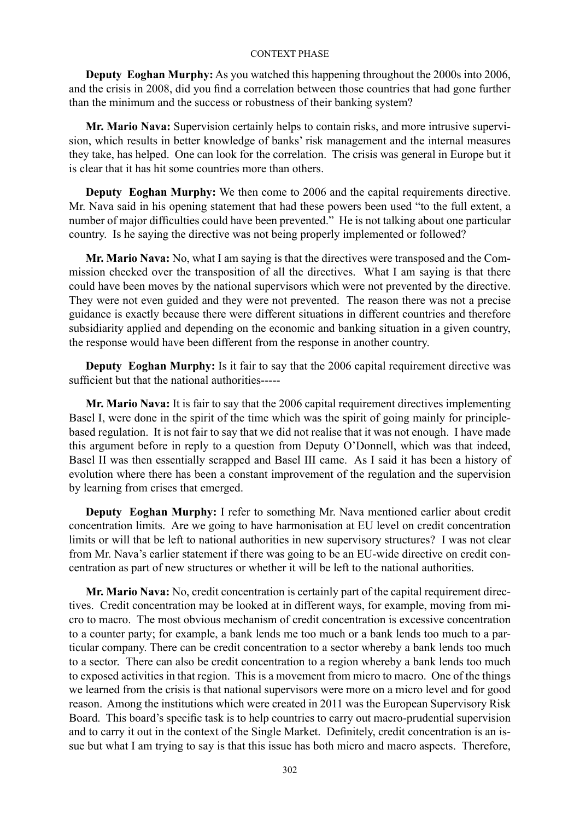**Deputy Eoghan Murphy:** As you watched this happening throughout the 2000s into 2006, and the crisis in 2008, did you find a correlation between those countries that had gone further than the minimum and the success or robustness of their banking system?

**Mr. Mario Nava:** Supervision certainly helps to contain risks, and more intrusive supervision, which results in better knowledge of banks' risk management and the internal measures they take, has helped. One can look for the correlation. The crisis was general in Europe but it is clear that it has hit some countries more than others.

**Deputy Eoghan Murphy:** We then come to 2006 and the capital requirements directive. Mr. Nava said in his opening statement that had these powers been used "to the full extent, a number of major difficulties could have been prevented." He is not talking about one particular country. Is he saying the directive was not being properly implemented or followed?

**Mr. Mario Nava:** No, what I am saying is that the directives were transposed and the Commission checked over the transposition of all the directives. What I am saying is that there could have been moves by the national supervisors which were not prevented by the directive. They were not even guided and they were not prevented. The reason there was not a precise guidance is exactly because there were different situations in different countries and therefore subsidiarity applied and depending on the economic and banking situation in a given country, the response would have been different from the response in another country.

**Deputy Eoghan Murphy:** Is it fair to say that the 2006 capital requirement directive was sufficient but that the national authorities-----

**Mr. Mario Nava:** It is fair to say that the 2006 capital requirement directives implementing Basel I, were done in the spirit of the time which was the spirit of going mainly for principlebased regulation. It is not fair to say that we did not realise that it was not enough. I have made this argument before in reply to a question from Deputy O'Donnell, which was that indeed, Basel II was then essentially scrapped and Basel III came. As I said it has been a history of evolution where there has been a constant improvement of the regulation and the supervision by learning from crises that emerged.

**Deputy Eoghan Murphy:** I refer to something Mr. Nava mentioned earlier about credit concentration limits. Are we going to have harmonisation at EU level on credit concentration limits or will that be left to national authorities in new supervisory structures? I was not clear from Mr. Nava's earlier statement if there was going to be an EU-wide directive on credit concentration as part of new structures or whether it will be left to the national authorities.

**Mr. Mario Nava:** No, credit concentration is certainly part of the capital requirement directives. Credit concentration may be looked at in different ways, for example, moving from micro to macro. The most obvious mechanism of credit concentration is excessive concentration to a counter party; for example, a bank lends me too much or a bank lends too much to a particular company. There can be credit concentration to a sector whereby a bank lends too much to a sector. There can also be credit concentration to a region whereby a bank lends too much to exposed activities in that region. This is a movement from micro to macro. One of the things we learned from the crisis is that national supervisors were more on a micro level and for good reason. Among the institutions which were created in 2011 was the European Supervisory Risk Board. This board's specific task is to help countries to carry out macro-prudential supervision and to carry it out in the context of the Single Market. Definitely, credit concentration is an issue but what I am trying to say is that this issue has both micro and macro aspects. Therefore,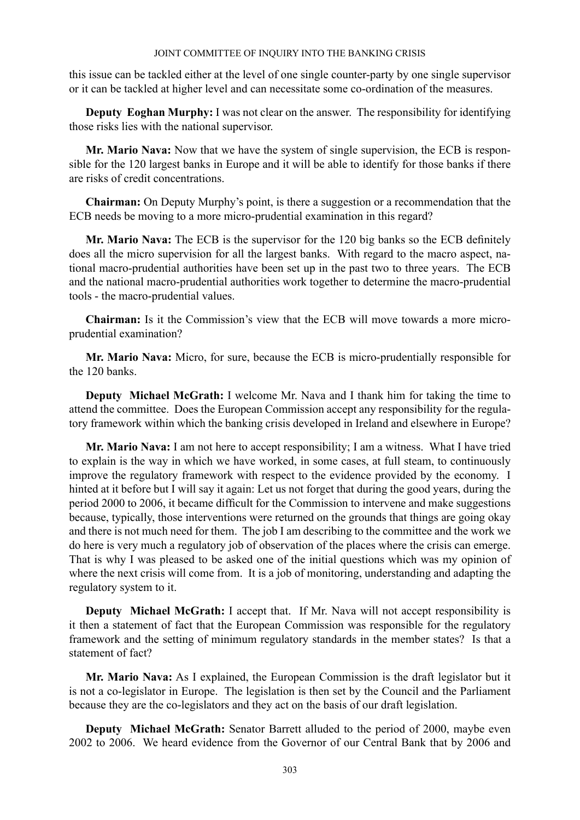this issue can be tackled either at the level of one single counter-party by one single supervisor or it can be tackled at higher level and can necessitate some co-ordination of the measures.

**Deputy Eoghan Murphy:** I was not clear on the answer. The responsibility for identifying those risks lies with the national supervisor.

**Mr. Mario Nava:** Now that we have the system of single supervision, the ECB is responsible for the 120 largest banks in Europe and it will be able to identify for those banks if there are risks of credit concentrations.

**Chairman:** On Deputy Murphy's point, is there a suggestion or a recommendation that the ECB needs be moving to a more micro-prudential examination in this regard?

**Mr. Mario Nava:** The ECB is the supervisor for the 120 big banks so the ECB definitely does all the micro supervision for all the largest banks. With regard to the macro aspect, national macro-prudential authorities have been set up in the past two to three years. The ECB and the national macro-prudential authorities work together to determine the macro-prudential tools - the macro-prudential values.

**Chairman:** Is it the Commission's view that the ECB will move towards a more microprudential examination?

**Mr. Mario Nava:** Micro, for sure, because the ECB is micro-prudentially responsible for the 120 banks.

**Deputy Michael McGrath:** I welcome Mr. Nava and I thank him for taking the time to attend the committee. Does the European Commission accept any responsibility for the regulatory framework within which the banking crisis developed in Ireland and elsewhere in Europe?

**Mr. Mario Nava:** I am not here to accept responsibility; I am a witness. What I have tried to explain is the way in which we have worked, in some cases, at full steam, to continuously improve the regulatory framework with respect to the evidence provided by the economy. I hinted at it before but I will say it again: Let us not forget that during the good years, during the period 2000 to 2006, it became difficult for the Commission to intervene and make suggestions because, typically, those interventions were returned on the grounds that things are going okay and there is not much need for them. The job I am describing to the committee and the work we do here is very much a regulatory job of observation of the places where the crisis can emerge. That is why I was pleased to be asked one of the initial questions which was my opinion of where the next crisis will come from. It is a job of monitoring, understanding and adapting the regulatory system to it.

**Deputy Michael McGrath:** I accept that. If Mr. Nava will not accept responsibility is it then a statement of fact that the European Commission was responsible for the regulatory framework and the setting of minimum regulatory standards in the member states? Is that a statement of fact?

**Mr. Mario Nava:** As I explained, the European Commission is the draft legislator but it is not a co-legislator in Europe. The legislation is then set by the Council and the Parliament because they are the co-legislators and they act on the basis of our draft legislation.

**Deputy Michael McGrath:** Senator Barrett alluded to the period of 2000, maybe even 2002 to 2006. We heard evidence from the Governor of our Central Bank that by 2006 and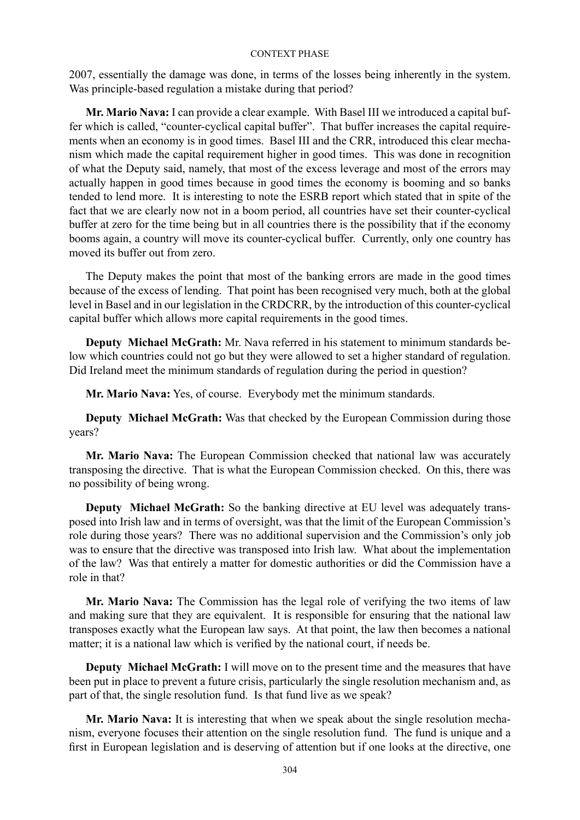2007, essentially the damage was done, in terms of the losses being inherently in the system. Was principle-based regulation a mistake during that period?

**Mr. Mario Nava:** I can provide a clear example. With Basel III we introduced a capital buffer which is called, "counter-cyclical capital buffer". That buffer increases the capital requirements when an economy is in good times. Basel III and the CRR, introduced this clear mechanism which made the capital requirement higher in good times. This was done in recognition of what the Deputy said, namely, that most of the excess leverage and most of the errors may actually happen in good times because in good times the economy is booming and so banks tended to lend more. It is interesting to note the ESRB report which stated that in spite of the fact that we are clearly now not in a boom period, all countries have set their counter-cyclical buffer at zero for the time being but in all countries there is the possibility that if the economy booms again, a country will move its counter-cyclical buffer. Currently, only one country has moved its buffer out from zero.

The Deputy makes the point that most of the banking errors are made in the good times because of the excess of lending. That point has been recognised very much, both at the global level in Basel and in our legislation in the CRDCRR, by the introduction of this counter-cyclical capital buffer which allows more capital requirements in the good times.

**Deputy Michael McGrath:** Mr. Nava referred in his statement to minimum standards below which countries could not go but they were allowed to set a higher standard of regulation. Did Ireland meet the minimum standards of regulation during the period in question?

**Mr. Mario Nava:** Yes, of course. Everybody met the minimum standards.

**Deputy Michael McGrath:** Was that checked by the European Commission during those years?

**Mr. Mario Nava:** The European Commission checked that national law was accurately transposing the directive. That is what the European Commission checked. On this, there was no possibility of being wrong.

**Deputy Michael McGrath:** So the banking directive at EU level was adequately transposed into Irish law and in terms of oversight, was that the limit of the European Commission's role during those years? There was no additional supervision and the Commission's only job was to ensure that the directive was transposed into Irish law. What about the implementation of the law? Was that entirely a matter for domestic authorities or did the Commission have a role in that?

**Mr. Mario Nava:** The Commission has the legal role of verifying the two items of law and making sure that they are equivalent. It is responsible for ensuring that the national law transposes exactly what the European law says. At that point, the law then becomes a national matter; it is a national law which is verified by the national court, if needs be.

**Deputy Michael McGrath:** I will move on to the present time and the measures that have been put in place to prevent a future crisis, particularly the single resolution mechanism and, as part of that, the single resolution fund. Is that fund live as we speak?

**Mr. Mario Nava:** It is interesting that when we speak about the single resolution mechanism, everyone focuses their attention on the single resolution fund. The fund is unique and a first in European legislation and is deserving of attention but if one looks at the directive, one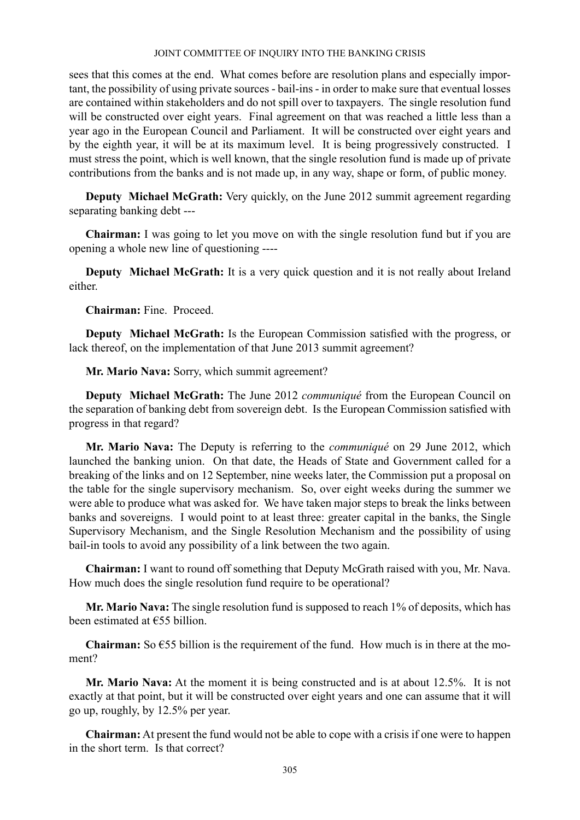sees that this comes at the end. What comes before are resolution plans and especially important, the possibility of using private sources - bail-ins - in order to make sure that eventual losses are contained within stakeholders and do not spill over to taxpayers. The single resolution fund will be constructed over eight years. Final agreement on that was reached a little less than a year ago in the European Council and Parliament. It will be constructed over eight years and by the eighth year, it will be at its maximum level. It is being progressively constructed. I must stress the point, which is well known, that the single resolution fund is made up of private contributions from the banks and is not made up, in any way, shape or form, of public money.

**Deputy Michael McGrath:** Very quickly, on the June 2012 summit agreement regarding separating banking debt ---

**Chairman:** I was going to let you move on with the single resolution fund but if you are opening a whole new line of questioning ----

**Deputy Michael McGrath:** It is a very quick question and it is not really about Ireland either.

**Chairman:** Fine. Proceed.

**Deputy Michael McGrath:** Is the European Commission satisfied with the progress, or lack thereof, on the implementation of that June 2013 summit agreement?

**Mr. Mario Nava:** Sorry, which summit agreement?

**Deputy Michael McGrath:** The June 2012 *communiqué* from the European Council on the separation of banking debt from sovereign debt. Is the European Commission satisfied with progress in that regard?

**Mr. Mario Nava:** The Deputy is referring to the *communiqué* on 29 June 2012, which launched the banking union. On that date, the Heads of State and Government called for a breaking of the links and on 12 September, nine weeks later, the Commission put a proposal on the table for the single supervisory mechanism. So, over eight weeks during the summer we were able to produce what was asked for. We have taken major steps to break the links between banks and sovereigns. I would point to at least three: greater capital in the banks, the Single Supervisory Mechanism, and the Single Resolution Mechanism and the possibility of using bail-in tools to avoid any possibility of a link between the two again.

**Chairman:** I want to round off something that Deputy McGrath raised with you, Mr. Nava. How much does the single resolution fund require to be operational?

**Mr. Mario Nava:** The single resolution fund is supposed to reach 1% of deposits, which has been estimated at €55 billion.

**Chairman:** So  $\epsilon$ 55 billion is the requirement of the fund. How much is in there at the moment?

**Mr. Mario Nava:** At the moment it is being constructed and is at about 12.5%. It is not exactly at that point, but it will be constructed over eight years and one can assume that it will go up, roughly, by 12.5% per year.

**Chairman:** At present the fund would not be able to cope with a crisis if one were to happen in the short term. Is that correct?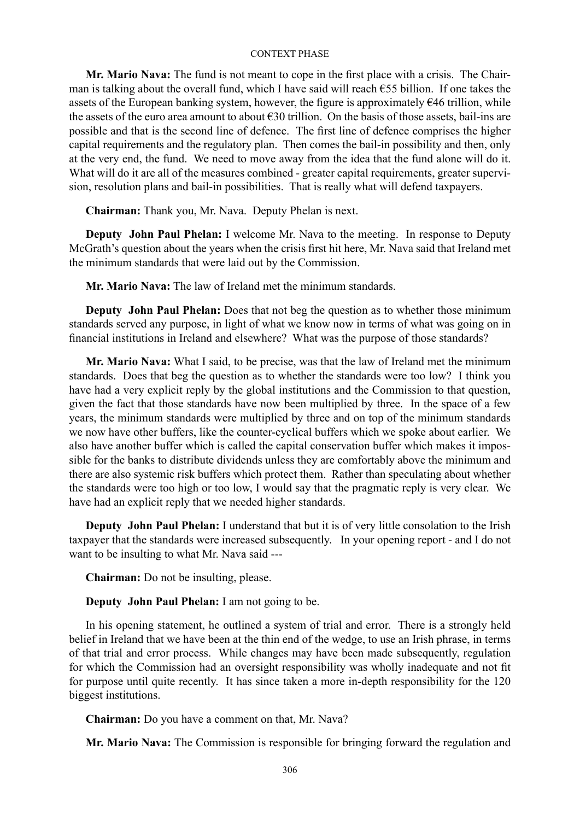**Mr. Mario Nava:** The fund is not meant to cope in the first place with a crisis. The Chairman is talking about the overall fund, which I have said will reach €55 billion. If one takes the assets of the European banking system, however, the figure is approximately  $\epsilon$ 46 trillion, while the assets of the euro area amount to about €30 trillion. On the basis of those assets, bail-ins are possible and that is the second line of defence. The first line of defence comprises the higher capital requirements and the regulatory plan. Then comes the bail-in possibility and then, only at the very end, the fund. We need to move away from the idea that the fund alone will do it. What will do it are all of the measures combined - greater capital requirements, greater supervision, resolution plans and bail-in possibilities. That is really what will defend taxpayers.

**Chairman:** Thank you, Mr. Nava. Deputy Phelan is next.

**Deputy John Paul Phelan:** I welcome Mr. Nava to the meeting. In response to Deputy McGrath's question about the years when the crisis first hit here, Mr. Nava said that Ireland met the minimum standards that were laid out by the Commission.

**Mr. Mario Nava:** The law of Ireland met the minimum standards.

**Deputy John Paul Phelan:** Does that not beg the question as to whether those minimum standards served any purpose, in light of what we know now in terms of what was going on in financial institutions in Ireland and elsewhere? What was the purpose of those standards?

**Mr. Mario Nava:** What I said, to be precise, was that the law of Ireland met the minimum standards. Does that beg the question as to whether the standards were too low? I think you have had a very explicit reply by the global institutions and the Commission to that question, given the fact that those standards have now been multiplied by three. In the space of a few years, the minimum standards were multiplied by three and on top of the minimum standards we now have other buffers, like the counter-cyclical buffers which we spoke about earlier. We also have another buffer which is called the capital conservation buffer which makes it impossible for the banks to distribute dividends unless they are comfortably above the minimum and there are also systemic risk buffers which protect them. Rather than speculating about whether the standards were too high or too low, I would say that the pragmatic reply is very clear. We have had an explicit reply that we needed higher standards.

**Deputy John Paul Phelan:** I understand that but it is of very little consolation to the Irish taxpayer that the standards were increased subsequently. In your opening report - and I do not want to be insulting to what Mr. Nava said ---

**Chairman:** Do not be insulting, please.

**Deputy John Paul Phelan:** I am not going to be.

In his opening statement, he outlined a system of trial and error. There is a strongly held belief in Ireland that we have been at the thin end of the wedge, to use an Irish phrase, in terms of that trial and error process. While changes may have been made subsequently, regulation for which the Commission had an oversight responsibility was wholly inadequate and not fit for purpose until quite recently. It has since taken a more in-depth responsibility for the 120 biggest institutions.

**Chairman:** Do you have a comment on that, Mr. Nava?

**Mr. Mario Nava:** The Commission is responsible for bringing forward the regulation and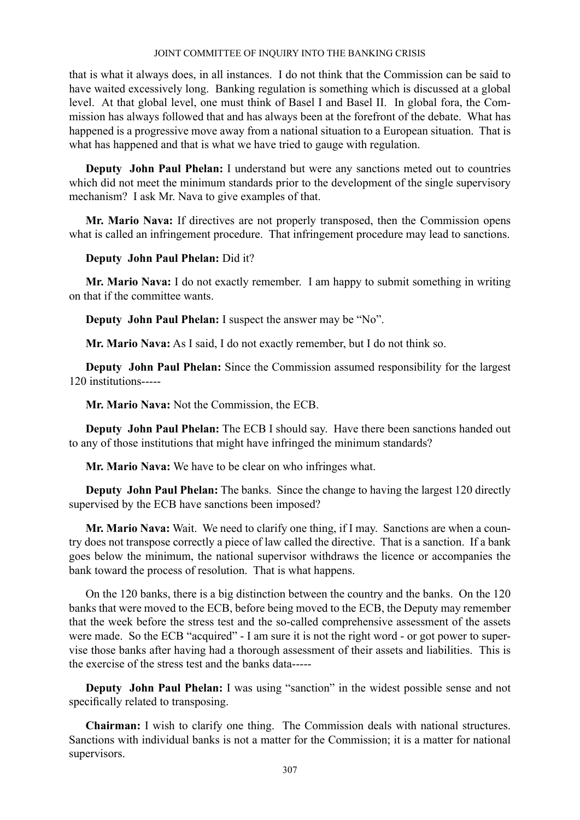that is what it always does, in all instances. I do not think that the Commission can be said to have waited excessively long. Banking regulation is something which is discussed at a global level. At that global level, one must think of Basel I and Basel II. In global fora, the Commission has always followed that and has always been at the forefront of the debate. What has happened is a progressive move away from a national situation to a European situation. That is what has happened and that is what we have tried to gauge with regulation.

**Deputy John Paul Phelan:** I understand but were any sanctions meted out to countries which did not meet the minimum standards prior to the development of the single supervisory mechanism? I ask Mr. Nava to give examples of that.

**Mr. Mario Nava:** If directives are not properly transposed, then the Commission opens what is called an infringement procedure. That infringement procedure may lead to sanctions.

# **Deputy John Paul Phelan:** Did it?

**Mr. Mario Nava:** I do not exactly remember. I am happy to submit something in writing on that if the committee wants.

**Deputy John Paul Phelan:** I suspect the answer may be "No".

**Mr. Mario Nava:** As I said, I do not exactly remember, but I do not think so.

**Deputy John Paul Phelan:** Since the Commission assumed responsibility for the largest 120 institutions-----

**Mr. Mario Nava:** Not the Commission, the ECB.

**Deputy John Paul Phelan:** The ECB I should say. Have there been sanctions handed out to any of those institutions that might have infringed the minimum standards?

**Mr. Mario Nava:** We have to be clear on who infringes what.

**Deputy John Paul Phelan:** The banks. Since the change to having the largest 120 directly supervised by the ECB have sanctions been imposed?

**Mr. Mario Nava:** Wait. We need to clarify one thing, if I may. Sanctions are when a country does not transpose correctly a piece of law called the directive. That is a sanction. If a bank goes below the minimum, the national supervisor withdraws the licence or accompanies the bank toward the process of resolution. That is what happens.

On the 120 banks, there is a big distinction between the country and the banks. On the 120 banks that were moved to the ECB, before being moved to the ECB, the Deputy may remember that the week before the stress test and the so-called comprehensive assessment of the assets were made. So the ECB "acquired" - I am sure it is not the right word - or got power to supervise those banks after having had a thorough assessment of their assets and liabilities. This is the exercise of the stress test and the banks data-----

**Deputy** John Paul Phelan: I was using "sanction" in the widest possible sense and not specifically related to transposing.

**Chairman:** I wish to clarify one thing. The Commission deals with national structures. Sanctions with individual banks is not a matter for the Commission; it is a matter for national supervisors.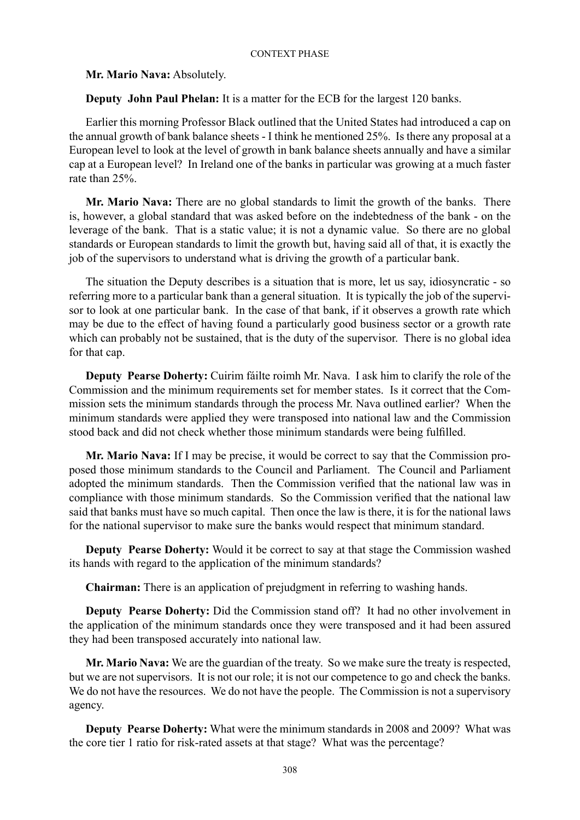## **Mr. Mario Nava:** Absolutely.

**Deputy John Paul Phelan:** It is a matter for the ECB for the largest 120 banks.

Earlier this morning Professor Black outlined that the United States had introduced a cap on the annual growth of bank balance sheets - I think he mentioned 25%. Is there any proposal at a European level to look at the level of growth in bank balance sheets annually and have a similar cap at a European level? In Ireland one of the banks in particular was growing at a much faster rate than 25%.

**Mr. Mario Nava:** There are no global standards to limit the growth of the banks. There is, however, a global standard that was asked before on the indebtedness of the bank - on the leverage of the bank. That is a static value; it is not a dynamic value. So there are no global standards or European standards to limit the growth but, having said all of that, it is exactly the job of the supervisors to understand what is driving the growth of a particular bank.

The situation the Deputy describes is a situation that is more, let us say, idiosyncratic - so referring more to a particular bank than a general situation. It is typically the job of the supervisor to look at one particular bank. In the case of that bank, if it observes a growth rate which may be due to the effect of having found a particularly good business sector or a growth rate which can probably not be sustained, that is the duty of the supervisor. There is no global idea for that cap.

**Deputy Pearse Doherty:** Cuirim fáilte roimh Mr. Nava. I ask him to clarify the role of the Commission and the minimum requirements set for member states. Is it correct that the Commission sets the minimum standards through the process Mr. Nava outlined earlier? When the minimum standards were applied they were transposed into national law and the Commission stood back and did not check whether those minimum standards were being fulfilled.

**Mr. Mario Nava:** If I may be precise, it would be correct to say that the Commission proposed those minimum standards to the Council and Parliament. The Council and Parliament adopted the minimum standards. Then the Commission verified that the national law was in compliance with those minimum standards. So the Commission verified that the national law said that banks must have so much capital. Then once the law is there, it is for the national laws for the national supervisor to make sure the banks would respect that minimum standard.

**Deputy Pearse Doherty:** Would it be correct to say at that stage the Commission washed its hands with regard to the application of the minimum standards?

**Chairman:** There is an application of prejudgment in referring to washing hands.

**Deputy Pearse Doherty:** Did the Commission stand off? It had no other involvement in the application of the minimum standards once they were transposed and it had been assured they had been transposed accurately into national law.

**Mr. Mario Nava:** We are the guardian of the treaty. So we make sure the treaty is respected, but we are not supervisors. It is not our role; it is not our competence to go and check the banks. We do not have the resources. We do not have the people. The Commission is not a supervisory agency.

**Deputy Pearse Doherty:** What were the minimum standards in 2008 and 2009? What was the core tier 1 ratio for risk-rated assets at that stage? What was the percentage?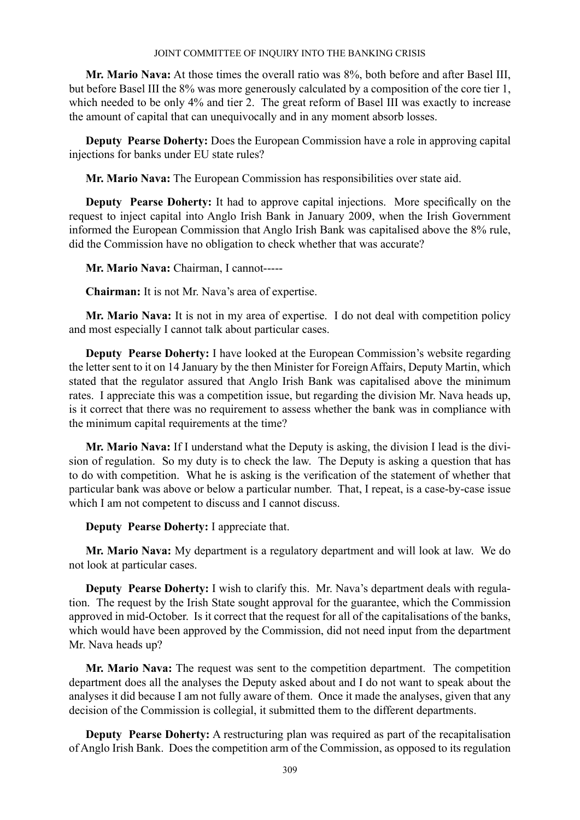**Mr. Mario Nava:** At those times the overall ratio was 8%, both before and after Basel III, but before Basel III the 8% was more generously calculated by a composition of the core tier 1, which needed to be only 4% and tier 2. The great reform of Basel III was exactly to increase the amount of capital that can unequivocally and in any moment absorb losses.

**Deputy Pearse Doherty:** Does the European Commission have a role in approving capital injections for banks under EU state rules?

**Mr. Mario Nava:** The European Commission has responsibilities over state aid.

**Deputy Pearse Doherty:** It had to approve capital injections. More specifically on the request to inject capital into Anglo Irish Bank in January 2009, when the Irish Government informed the European Commission that Anglo Irish Bank was capitalised above the 8% rule, did the Commission have no obligation to check whether that was accurate?

**Mr. Mario Nava:** Chairman, I cannot-----

**Chairman:** It is not Mr. Nava's area of expertise.

**Mr. Mario Nava:** It is not in my area of expertise. I do not deal with competition policy and most especially I cannot talk about particular cases.

**Deputy Pearse Doherty:** I have looked at the European Commission's website regarding the letter sent to it on 14 January by the then Minister for Foreign Affairs, Deputy Martin, which stated that the regulator assured that Anglo Irish Bank was capitalised above the minimum rates. I appreciate this was a competition issue, but regarding the division Mr. Nava heads up, is it correct that there was no requirement to assess whether the bank was in compliance with the minimum capital requirements at the time?

**Mr. Mario Nava:** If I understand what the Deputy is asking, the division I lead is the division of regulation. So my duty is to check the law. The Deputy is asking a question that has to do with competition. What he is asking is the verification of the statement of whether that particular bank was above or below a particular number. That, I repeat, is a case-by-case issue which I am not competent to discuss and I cannot discuss.

**Deputy Pearse Doherty:** I appreciate that.

**Mr. Mario Nava:** My department is a regulatory department and will look at law. We do not look at particular cases.

**Deputy Pearse Doherty:** I wish to clarify this. Mr. Nava's department deals with regulation. The request by the Irish State sought approval for the guarantee, which the Commission approved in mid-October. Is it correct that the request for all of the capitalisations of the banks, which would have been approved by the Commission, did not need input from the department Mr. Nava heads up?

**Mr. Mario Nava:** The request was sent to the competition department. The competition department does all the analyses the Deputy asked about and I do not want to speak about the analyses it did because I am not fully aware of them. Once it made the analyses, given that any decision of the Commission is collegial, it submitted them to the different departments.

**Deputy Pearse Doherty:** A restructuring plan was required as part of the recapitalisation of Anglo Irish Bank. Does the competition arm of the Commission, as opposed to its regulation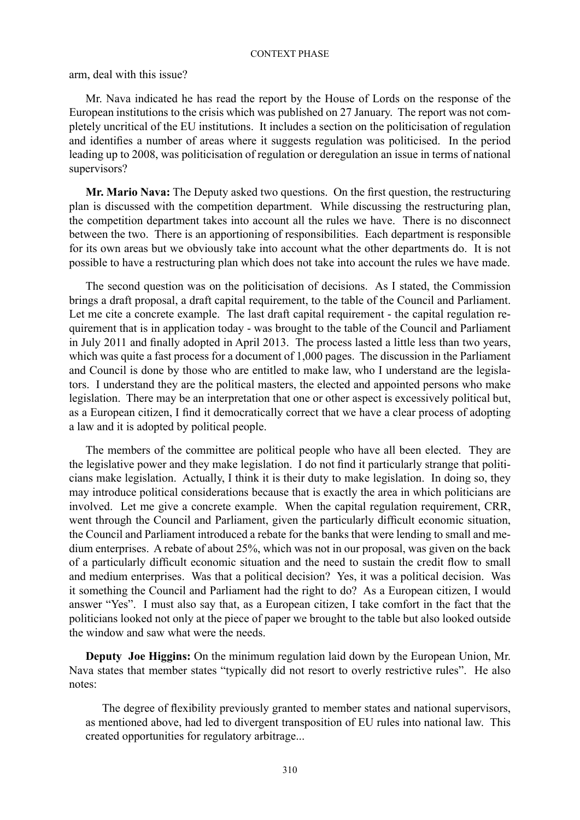arm, deal with this issue?

Mr. Nava indicated he has read the report by the House of Lords on the response of the European institutions to the crisis which was published on 27 January. The report was not completely uncritical of the EU institutions. It includes a section on the politicisation of regulation and identifies a number of areas where it suggests regulation was politicised. In the period leading up to 2008, was politicisation of regulation or deregulation an issue in terms of national supervisors?

**Mr. Mario Nava:** The Deputy asked two questions. On the first question, the restructuring plan is discussed with the competition department. While discussing the restructuring plan, the competition department takes into account all the rules we have. There is no disconnect between the two. There is an apportioning of responsibilities. Each department is responsible for its own areas but we obviously take into account what the other departments do. It is not possible to have a restructuring plan which does not take into account the rules we have made.

The second question was on the politicisation of decisions. As I stated, the Commission brings a draft proposal, a draft capital requirement, to the table of the Council and Parliament. Let me cite a concrete example. The last draft capital requirement - the capital regulation requirement that is in application today - was brought to the table of the Council and Parliament in July 2011 and finally adopted in April 2013. The process lasted a little less than two years, which was quite a fast process for a document of 1,000 pages. The discussion in the Parliament and Council is done by those who are entitled to make law, who I understand are the legislators. I understand they are the political masters, the elected and appointed persons who make legislation. There may be an interpretation that one or other aspect is excessively political but, as a European citizen, I find it democratically correct that we have a clear process of adopting a law and it is adopted by political people.

The members of the committee are political people who have all been elected. They are the legislative power and they make legislation. I do not find it particularly strange that politicians make legislation. Actually, I think it is their duty to make legislation. In doing so, they may introduce political considerations because that is exactly the area in which politicians are involved. Let me give a concrete example. When the capital regulation requirement, CRR, went through the Council and Parliament, given the particularly difficult economic situation, the Council and Parliament introduced a rebate for the banks that were lending to small and medium enterprises. A rebate of about 25%, which was not in our proposal, was given on the back of a particularly difficult economic situation and the need to sustain the credit flow to small and medium enterprises. Was that a political decision? Yes, it was a political decision. Was it something the Council and Parliament had the right to do? As a European citizen, I would answer "Yes". I must also say that, as a European citizen, I take comfort in the fact that the politicians looked not only at the piece of paper we brought to the table but also looked outside the window and saw what were the needs.

**Deputy Joe Higgins:** On the minimum regulation laid down by the European Union, Mr. Nava states that member states "typically did not resort to overly restrictive rules". He also notes:

The degree of flexibility previously granted to member states and national supervisors, as mentioned above, had led to divergent transposition of EU rules into national law. This created opportunities for regulatory arbitrage...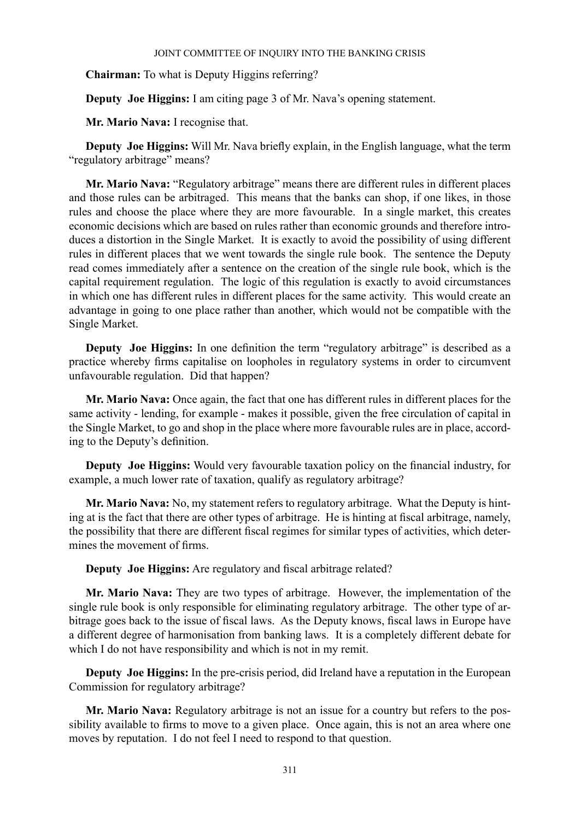**Chairman:** To what is Deputy Higgins referring?

**Deputy Joe Higgins:** I am citing page 3 of Mr. Nava's opening statement.

**Mr. Mario Nava:** I recognise that.

**Deputy Joe Higgins:** Will Mr. Nava briefly explain, in the English language, what the term "regulatory arbitrage" means?

**Mr. Mario Nava:** "Regulatory arbitrage" means there are different rules in different places and those rules can be arbitraged. This means that the banks can shop, if one likes, in those rules and choose the place where they are more favourable. In a single market, this creates economic decisions which are based on rules rather than economic grounds and therefore introduces a distortion in the Single Market. It is exactly to avoid the possibility of using different rules in different places that we went towards the single rule book. The sentence the Deputy read comes immediately after a sentence on the creation of the single rule book, which is the capital requirement regulation. The logic of this regulation is exactly to avoid circumstances in which one has different rules in different places for the same activity. This would create an advantage in going to one place rather than another, which would not be compatible with the Single Market.

**Deputy** Joe Higgins: In one definition the term "regulatory arbitrage" is described as a practice whereby firms capitalise on loopholes in regulatory systems in order to circumvent unfavourable regulation. Did that happen?

**Mr. Mario Nava:** Once again, the fact that one has different rules in different places for the same activity - lending, for example - makes it possible, given the free circulation of capital in the Single Market, to go and shop in the place where more favourable rules are in place, according to the Deputy's definition.

**Deputy Joe Higgins:** Would very favourable taxation policy on the financial industry, for example, a much lower rate of taxation, qualify as regulatory arbitrage?

**Mr. Mario Nava:** No, my statement refers to regulatory arbitrage. What the Deputy is hinting at is the fact that there are other types of arbitrage. He is hinting at fiscal arbitrage, namely, the possibility that there are different fiscal regimes for similar types of activities, which determines the movement of firms.

**Deputy Joe Higgins:** Are regulatory and fiscal arbitrage related?

**Mr. Mario Nava:** They are two types of arbitrage. However, the implementation of the single rule book is only responsible for eliminating regulatory arbitrage. The other type of arbitrage goes back to the issue of fiscal laws. As the Deputy knows, fiscal laws in Europe have a different degree of harmonisation from banking laws. It is a completely different debate for which I do not have responsibility and which is not in my remit.

**Deputy Joe Higgins:** In the pre-crisis period, did Ireland have a reputation in the European Commission for regulatory arbitrage?

**Mr. Mario Nava:** Regulatory arbitrage is not an issue for a country but refers to the possibility available to firms to move to a given place. Once again, this is not an area where one moves by reputation. I do not feel I need to respond to that question.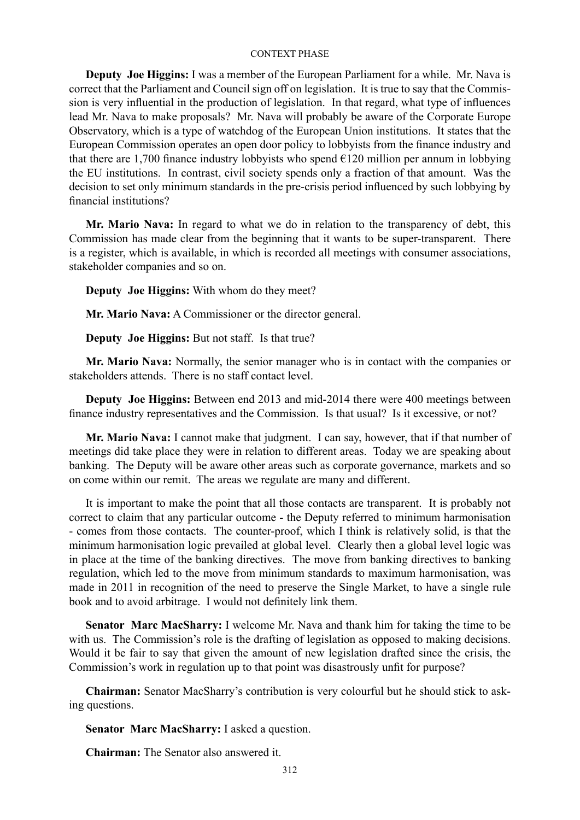**Deputy Joe Higgins:** I was a member of the European Parliament for a while. Mr. Nava is correct that the Parliament and Council sign off on legislation. It is true to say that the Commission is very influential in the production of legislation. In that regard, what type of influences lead Mr. Nava to make proposals? Mr. Nava will probably be aware of the Corporate Europe Observatory, which is a type of watchdog of the European Union institutions. It states that the European Commission operates an open door policy to lobbyists from the finance industry and that there are 1,700 finance industry lobbyists who spend €120 million per annum in lobbying the EU institutions. In contrast, civil society spends only a fraction of that amount. Was the decision to set only minimum standards in the pre-crisis period influenced by such lobbying by financial institutions?

**Mr. Mario Nava:** In regard to what we do in relation to the transparency of debt, this Commission has made clear from the beginning that it wants to be super-transparent. There is a register, which is available, in which is recorded all meetings with consumer associations, stakeholder companies and so on.

**Deputy Joe Higgins:** With whom do they meet?

**Mr. Mario Nava:** A Commissioner or the director general.

**Deputy Joe Higgins:** But not staff. Is that true?

**Mr. Mario Nava:** Normally, the senior manager who is in contact with the companies or stakeholders attends. There is no staff contact level.

**Deputy Joe Higgins:** Between end 2013 and mid-2014 there were 400 meetings between finance industry representatives and the Commission. Is that usual? Is it excessive, or not?

**Mr. Mario Nava:** I cannot make that judgment. I can say, however, that if that number of meetings did take place they were in relation to different areas. Today we are speaking about banking. The Deputy will be aware other areas such as corporate governance, markets and so on come within our remit. The areas we regulate are many and different.

It is important to make the point that all those contacts are transparent. It is probably not correct to claim that any particular outcome - the Deputy referred to minimum harmonisation - comes from those contacts. The counter-proof, which I think is relatively solid, is that the minimum harmonisation logic prevailed at global level. Clearly then a global level logic was in place at the time of the banking directives. The move from banking directives to banking regulation, which led to the move from minimum standards to maximum harmonisation, was made in 2011 in recognition of the need to preserve the Single Market, to have a single rule book and to avoid arbitrage. I would not definitely link them.

**Senator Marc MacSharry:** I welcome Mr. Nava and thank him for taking the time to be with us. The Commission's role is the drafting of legislation as opposed to making decisions. Would it be fair to say that given the amount of new legislation drafted since the crisis, the Commission's work in regulation up to that point was disastrously unfit for purpose?

**Chairman:** Senator MacSharry's contribution is very colourful but he should stick to asking questions.

**Senator Marc MacSharry:** I asked a question.

**Chairman:** The Senator also answered it.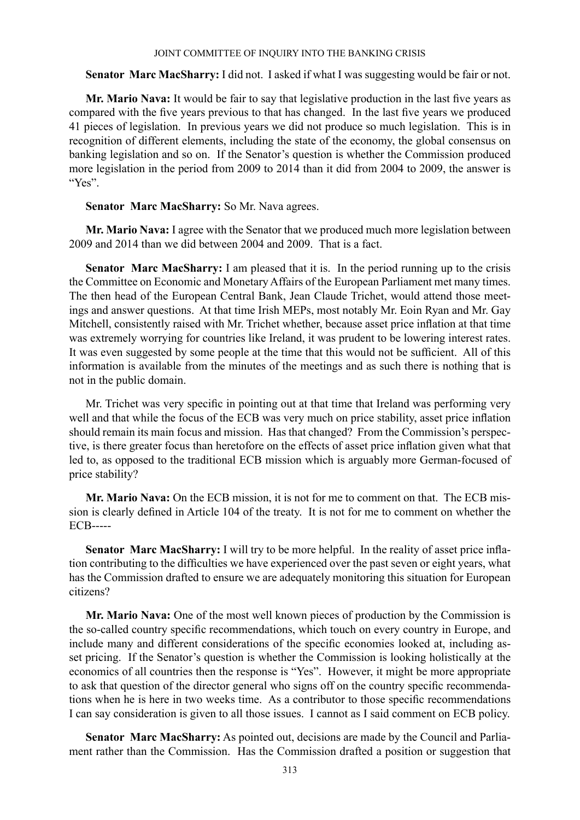**Senator Marc MacSharry:** I did not. I asked if what I was suggesting would be fair or not.

**Mr. Mario Nava:** It would be fair to say that legislative production in the last five years as compared with the five years previous to that has changed. In the last five years we produced 41 pieces of legislation. In previous years we did not produce so much legislation. This is in recognition of different elements, including the state of the economy, the global consensus on banking legislation and so on. If the Senator's question is whether the Commission produced more legislation in the period from 2009 to 2014 than it did from 2004 to 2009, the answer is "Yes".

**Senator Marc MacSharry:** So Mr. Nava agrees.

**Mr. Mario Nava:** I agree with the Senator that we produced much more legislation between 2009 and 2014 than we did between 2004 and 2009. That is a fact.

Senator Marc MacSharry: I am pleased that it is. In the period running up to the crisis the Committee on Economic and Monetary Affairs of the European Parliament met many times. The then head of the European Central Bank, Jean Claude Trichet, would attend those meetings and answer questions. At that time Irish MEPs, most notably Mr. Eoin Ryan and Mr. Gay Mitchell, consistently raised with Mr. Trichet whether, because asset price inflation at that time was extremely worrying for countries like Ireland, it was prudent to be lowering interest rates. It was even suggested by some people at the time that this would not be sufficient. All of this information is available from the minutes of the meetings and as such there is nothing that is not in the public domain.

Mr. Trichet was very specific in pointing out at that time that Ireland was performing very well and that while the focus of the ECB was very much on price stability, asset price inflation should remain its main focus and mission. Has that changed? From the Commission's perspective, is there greater focus than heretofore on the effects of asset price inflation given what that led to, as opposed to the traditional ECB mission which is arguably more German-focused of price stability?

**Mr. Mario Nava:** On the ECB mission, it is not for me to comment on that. The ECB mission is clearly defined in Article 104 of the treaty. It is not for me to comment on whether the ECB-----

**Senator Marc MacSharry:** I will try to be more helpful. In the reality of asset price inflation contributing to the difficulties we have experienced over the past seven or eight years, what has the Commission drafted to ensure we are adequately monitoring this situation for European citizens?

**Mr. Mario Nava:** One of the most well known pieces of production by the Commission is the so-called country specific recommendations, which touch on every country in Europe, and include many and different considerations of the specific economies looked at, including asset pricing. If the Senator's question is whether the Commission is looking holistically at the economics of all countries then the response is "Yes". However, it might be more appropriate to ask that question of the director general who signs off on the country specific recommendations when he is here in two weeks time. As a contributor to those specific recommendations I can say consideration is given to all those issues. I cannot as I said comment on ECB policy.

**Senator Marc MacSharry:** As pointed out, decisions are made by the Council and Parliament rather than the Commission. Has the Commission drafted a position or suggestion that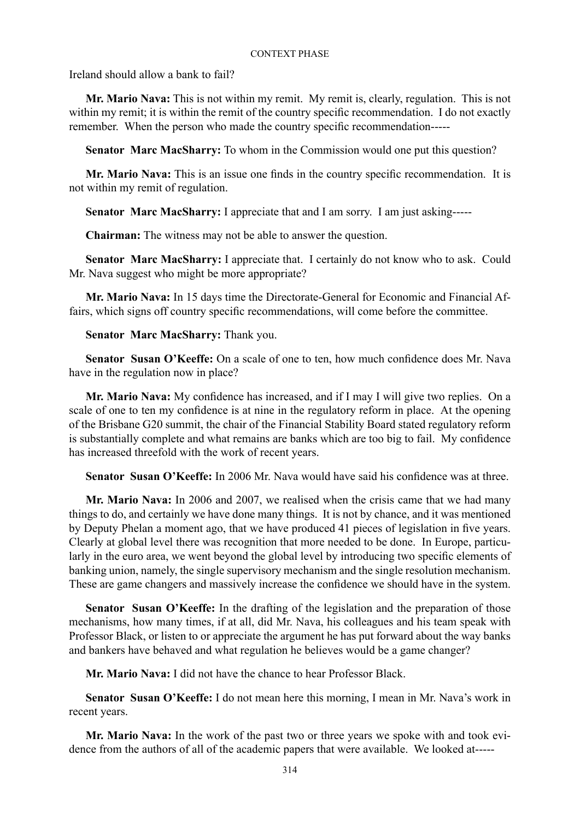Ireland should allow a bank to fail?

**Mr. Mario Nava:** This is not within my remit. My remit is, clearly, regulation. This is not within my remit; it is within the remit of the country specific recommendation. I do not exactly remember. When the person who made the country specific recommendation-----

**Senator Marc MacSharry:** To whom in the Commission would one put this question?

**Mr. Mario Nava:** This is an issue one finds in the country specific recommendation. It is not within my remit of regulation.

**Senator Marc MacSharry:** I appreciate that and I am sorry. I am just asking-----

**Chairman:** The witness may not be able to answer the question.

**Senator Marc MacSharry:** I appreciate that. I certainly do not know who to ask. Could Mr. Nava suggest who might be more appropriate?

**Mr. Mario Nava:** In 15 days time the Directorate-General for Economic and Financial Affairs, which signs off country specific recommendations, will come before the committee.

## **Senator Marc MacSharry:** Thank you.

**Senator Susan O'Keeffe:** On a scale of one to ten, how much confidence does Mr. Nava have in the regulation now in place?

**Mr. Mario Nava:** My confidence has increased, and if I may I will give two replies. On a scale of one to ten my confidence is at nine in the regulatory reform in place. At the opening of the Brisbane G20 summit, the chair of the Financial Stability Board stated regulatory reform is substantially complete and what remains are banks which are too big to fail. My confidence has increased threefold with the work of recent years.

**Senator Susan O'Keeffe:** In 2006 Mr. Nava would have said his confidence was at three.

**Mr. Mario Nava:** In 2006 and 2007, we realised when the crisis came that we had many things to do, and certainly we have done many things. It is not by chance, and it was mentioned by Deputy Phelan a moment ago, that we have produced 41 pieces of legislation in five years. Clearly at global level there was recognition that more needed to be done. In Europe, particularly in the euro area, we went beyond the global level by introducing two specific elements of banking union, namely, the single supervisory mechanism and the single resolution mechanism. These are game changers and massively increase the confidence we should have in the system.

**Senator Susan O'Keeffe:** In the drafting of the legislation and the preparation of those mechanisms, how many times, if at all, did Mr. Nava, his colleagues and his team speak with Professor Black, or listen to or appreciate the argument he has put forward about the way banks and bankers have behaved and what regulation he believes would be a game changer?

**Mr. Mario Nava:** I did not have the chance to hear Professor Black.

**Senator Susan O'Keeffe:** I do not mean here this morning, I mean in Mr. Nava's work in recent years.

**Mr. Mario Nava:** In the work of the past two or three years we spoke with and took evidence from the authors of all of the academic papers that were available. We looked at-----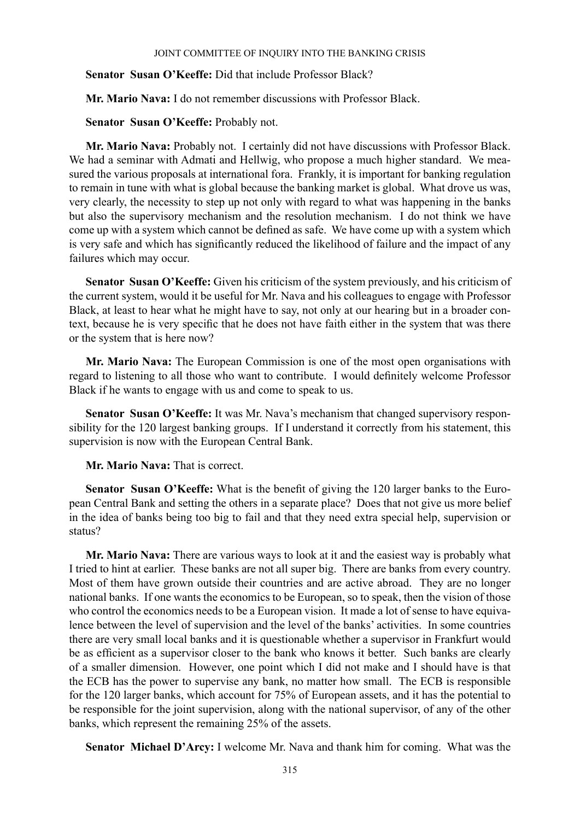## **Senator Susan O'Keeffe:** Did that include Professor Black?

**Mr. Mario Nava:** I do not remember discussions with Professor Black.

# **Senator Susan O'Keeffe:** Probably not.

**Mr. Mario Nava:** Probably not. I certainly did not have discussions with Professor Black. We had a seminar with Admati and Hellwig, who propose a much higher standard. We measured the various proposals at international fora. Frankly, it is important for banking regulation to remain in tune with what is global because the banking market is global. What drove us was, very clearly, the necessity to step up not only with regard to what was happening in the banks but also the supervisory mechanism and the resolution mechanism. I do not think we have come up with a system which cannot be defined as safe. We have come up with a system which is very safe and which has significantly reduced the likelihood of failure and the impact of any failures which may occur.

**Senator Susan O'Keeffe:** Given his criticism of the system previously, and his criticism of the current system, would it be useful for Mr. Nava and his colleagues to engage with Professor Black, at least to hear what he might have to say, not only at our hearing but in a broader context, because he is very specific that he does not have faith either in the system that was there or the system that is here now?

**Mr. Mario Nava:** The European Commission is one of the most open organisations with regard to listening to all those who want to contribute. I would definitely welcome Professor Black if he wants to engage with us and come to speak to us.

**Senator Susan O'Keeffe:** It was Mr. Nava's mechanism that changed supervisory responsibility for the 120 largest banking groups. If I understand it correctly from his statement, this supervision is now with the European Central Bank.

**Mr. Mario Nava:** That is correct.

**Senator Susan O'Keeffe:** What is the benefit of giving the 120 larger banks to the European Central Bank and setting the others in a separate place? Does that not give us more belief in the idea of banks being too big to fail and that they need extra special help, supervision or status?

**Mr. Mario Nava:** There are various ways to look at it and the easiest way is probably what I tried to hint at earlier. These banks are not all super big. There are banks from every country. Most of them have grown outside their countries and are active abroad. They are no longer national banks. If one wants the economics to be European, so to speak, then the vision of those who control the economics needs to be a European vision. It made a lot of sense to have equivalence between the level of supervision and the level of the banks' activities. In some countries there are very small local banks and it is questionable whether a supervisor in Frankfurt would be as efficient as a supervisor closer to the bank who knows it better. Such banks are clearly of a smaller dimension. However, one point which I did not make and I should have is that the ECB has the power to supervise any bank, no matter how small. The ECB is responsible for the 120 larger banks, which account for 75% of European assets, and it has the potential to be responsible for the joint supervision, along with the national supervisor, of any of the other banks, which represent the remaining 25% of the assets.

**Senator Michael D'Arcy:** I welcome Mr. Nava and thank him for coming. What was the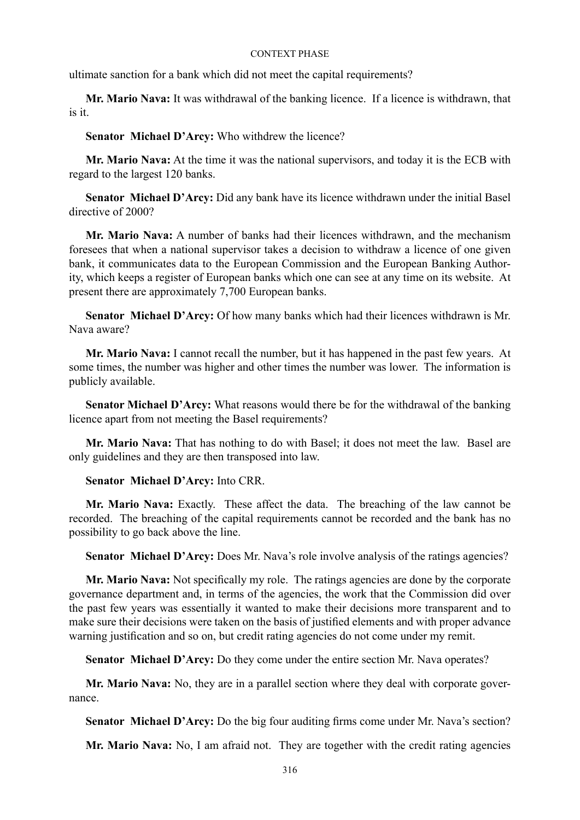ultimate sanction for a bank which did not meet the capital requirements?

**Mr. Mario Nava:** It was withdrawal of the banking licence. If a licence is withdrawn, that is it.

**Senator Michael D'Arcy:** Who withdrew the licence?

**Mr. Mario Nava:** At the time it was the national supervisors, and today it is the ECB with regard to the largest 120 banks.

**Senator Michael D'Arcy:** Did any bank have its licence withdrawn under the initial Basel directive of 2000?

**Mr. Mario Nava:** A number of banks had their licences withdrawn, and the mechanism foresees that when a national supervisor takes a decision to withdraw a licence of one given bank, it communicates data to the European Commission and the European Banking Authority, which keeps a register of European banks which one can see at any time on its website. At present there are approximately 7,700 European banks.

**Senator Michael D'Arcy:** Of how many banks which had their licences withdrawn is Mr. Nava aware?

**Mr. Mario Nava:** I cannot recall the number, but it has happened in the past few years. At some times, the number was higher and other times the number was lower. The information is publicly available.

**Senator Michael D'Arcy:** What reasons would there be for the withdrawal of the banking licence apart from not meeting the Basel requirements?

**Mr. Mario Nava:** That has nothing to do with Basel; it does not meet the law. Basel are only guidelines and they are then transposed into law.

## **Senator Michael D'Arcy:** Into CRR.

**Mr. Mario Nava:** Exactly. These affect the data. The breaching of the law cannot be recorded. The breaching of the capital requirements cannot be recorded and the bank has no possibility to go back above the line.

**Senator Michael D'Arcy:** Does Mr. Nava's role involve analysis of the ratings agencies?

**Mr. Mario Nava:** Not specifically my role. The ratings agencies are done by the corporate governance department and, in terms of the agencies, the work that the Commission did over the past few years was essentially it wanted to make their decisions more transparent and to make sure their decisions were taken on the basis of justified elements and with proper advance warning justification and so on, but credit rating agencies do not come under my remit.

**Senator Michael D'Arcy:** Do they come under the entire section Mr. Nava operates?

**Mr. Mario Nava:** No, they are in a parallel section where they deal with corporate governance.

**Senator Michael D'Arcy:** Do the big four auditing firms come under Mr. Nava's section?

**Mr. Mario Nava:** No, I am afraid not. They are together with the credit rating agencies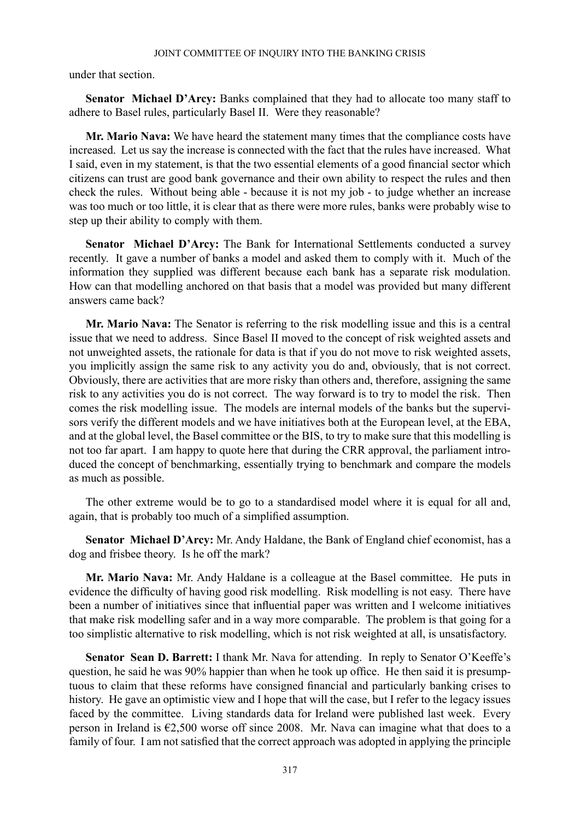under that section.

**Senator Michael D'Arcy:** Banks complained that they had to allocate too many staff to adhere to Basel rules, particularly Basel II. Were they reasonable?

**Mr. Mario Nava:** We have heard the statement many times that the compliance costs have increased. Let us say the increase is connected with the fact that the rules have increased. What I said, even in my statement, is that the two essential elements of a good financial sector which citizens can trust are good bank governance and their own ability to respect the rules and then check the rules. Without being able - because it is not my job - to judge whether an increase was too much or too little, it is clear that as there were more rules, banks were probably wise to step up their ability to comply with them.

**Senator Michael D'Arcy:** The Bank for International Settlements conducted a survey recently. It gave a number of banks a model and asked them to comply with it. Much of the information they supplied was different because each bank has a separate risk modulation. How can that modelling anchored on that basis that a model was provided but many different answers came back?

**Mr. Mario Nava:** The Senator is referring to the risk modelling issue and this is a central issue that we need to address. Since Basel II moved to the concept of risk weighted assets and not unweighted assets, the rationale for data is that if you do not move to risk weighted assets, you implicitly assign the same risk to any activity you do and, obviously, that is not correct. Obviously, there are activities that are more risky than others and, therefore, assigning the same risk to any activities you do is not correct. The way forward is to try to model the risk. Then comes the risk modelling issue. The models are internal models of the banks but the supervisors verify the different models and we have initiatives both at the European level, at the EBA, and at the global level, the Basel committee or the BIS, to try to make sure that this modelling is not too far apart. I am happy to quote here that during the CRR approval, the parliament introduced the concept of benchmarking, essentially trying to benchmark and compare the models as much as possible.

The other extreme would be to go to a standardised model where it is equal for all and, again, that is probably too much of a simplified assumption.

**Senator Michael D'Arcy:** Mr. Andy Haldane, the Bank of England chief economist, has a dog and frisbee theory. Is he off the mark?

**Mr. Mario Nava:** Mr. Andy Haldane is a colleague at the Basel committee. He puts in evidence the difficulty of having good risk modelling. Risk modelling is not easy. There have been a number of initiatives since that influential paper was written and I welcome initiatives that make risk modelling safer and in a way more comparable. The problem is that going for a too simplistic alternative to risk modelling, which is not risk weighted at all, is unsatisfactory.

**Senator Sean D. Barrett:** I thank Mr. Nava for attending. In reply to Senator O'Keeffe's question, he said he was 90% happier than when he took up office. He then said it is presumptuous to claim that these reforms have consigned financial and particularly banking crises to history. He gave an optimistic view and I hope that will the case, but I refer to the legacy issues faced by the committee. Living standards data for Ireland were published last week. Every person in Ireland is €2,500 worse off since 2008. Mr. Nava can imagine what that does to a family of four. I am not satisfied that the correct approach was adopted in applying the principle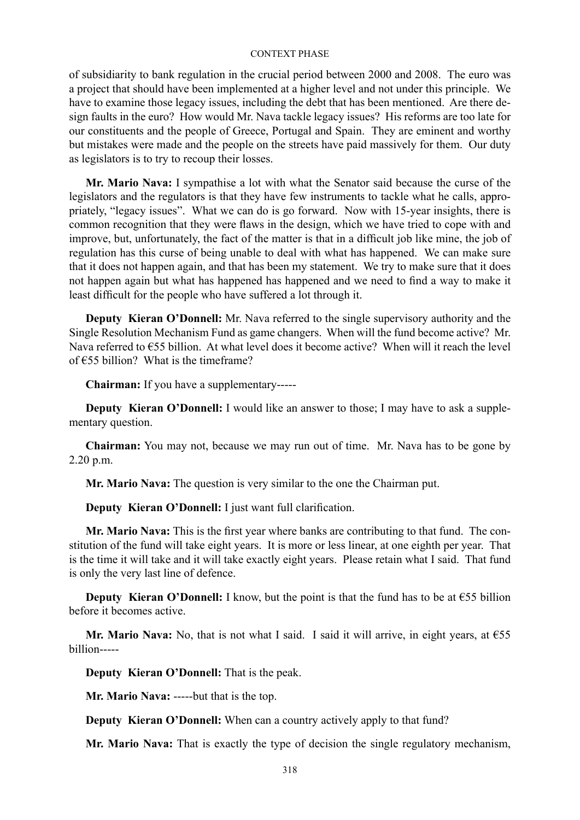of subsidiarity to bank regulation in the crucial period between 2000 and 2008. The euro was a project that should have been implemented at a higher level and not under this principle. We have to examine those legacy issues, including the debt that has been mentioned. Are there design faults in the euro? How would Mr. Nava tackle legacy issues? His reforms are too late for our constituents and the people of Greece, Portugal and Spain. They are eminent and worthy but mistakes were made and the people on the streets have paid massively for them. Our duty as legislators is to try to recoup their losses.

**Mr. Mario Nava:** I sympathise a lot with what the Senator said because the curse of the legislators and the regulators is that they have few instruments to tackle what he calls, appropriately, "legacy issues". What we can do is go forward. Now with 15-year insights, there is common recognition that they were flaws in the design, which we have tried to cope with and improve, but, unfortunately, the fact of the matter is that in a difficult job like mine, the job of regulation has this curse of being unable to deal with what has happened. We can make sure that it does not happen again, and that has been my statement. We try to make sure that it does not happen again but what has happened has happened and we need to find a way to make it least difficult for the people who have suffered a lot through it.

**Deputy Kieran O'Donnell:** Mr. Nava referred to the single supervisory authority and the Single Resolution Mechanism Fund as game changers. When will the fund become active? Mr. Nava referred to €55 billion. At what level does it become active? When will it reach the level of €55 billion? What is the timeframe?

**Chairman:** If you have a supplementary-----

**Deputy Kieran O'Donnell:** I would like an answer to those; I may have to ask a supplementary question.

**Chairman:** You may not, because we may run out of time. Mr. Nava has to be gone by 2.20 p.m.

**Mr. Mario Nava:** The question is very similar to the one the Chairman put.

**Deputy Kieran O'Donnell:** I just want full clarification.

**Mr. Mario Nava:** This is the first year where banks are contributing to that fund. The constitution of the fund will take eight years. It is more or less linear, at one eighth per year. That is the time it will take and it will take exactly eight years. Please retain what I said. That fund is only the very last line of defence.

**Deputy Kieran O'Donnell:** I know, but the point is that the fund has to be at  $\epsilon$ 55 billion before it becomes active.

**Mr. Mario Nava:** No, that is not what I said. I said it will arrive, in eight years, at €55 billion-----

**Deputy Kieran O'Donnell:** That is the peak.

**Mr. Mario Nava:** -----but that is the top.

**Deputy Kieran O'Donnell:** When can a country actively apply to that fund?

**Mr. Mario Nava:** That is exactly the type of decision the single regulatory mechanism,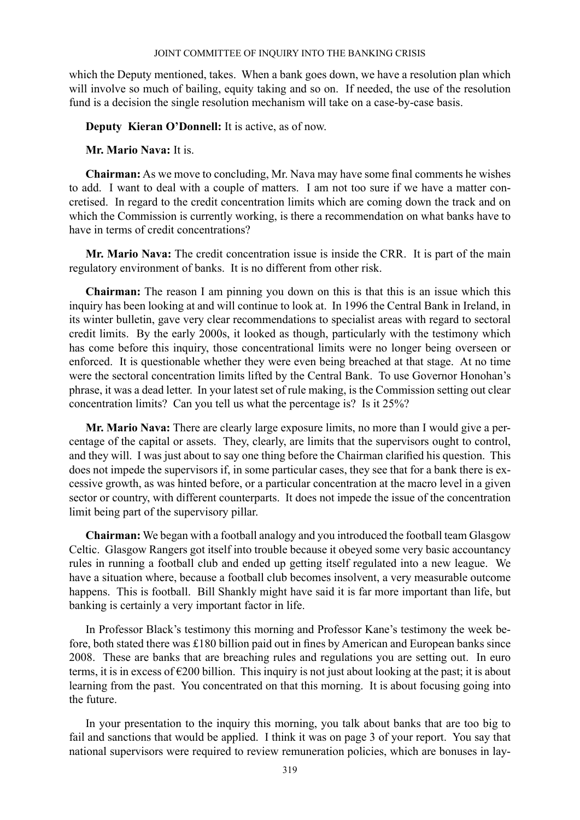which the Deputy mentioned, takes. When a bank goes down, we have a resolution plan which will involve so much of bailing, equity taking and so on. If needed, the use of the resolution fund is a decision the single resolution mechanism will take on a case-by-case basis.

**Deputy Kieran O'Donnell:** It is active, as of now.

## **Mr. Mario Nava:** It is.

**Chairman:** As we move to concluding, Mr. Nava may have some final comments he wishes to add. I want to deal with a couple of matters. I am not too sure if we have a matter concretised. In regard to the credit concentration limits which are coming down the track and on which the Commission is currently working, is there a recommendation on what banks have to have in terms of credit concentrations?

**Mr. Mario Nava:** The credit concentration issue is inside the CRR. It is part of the main regulatory environment of banks. It is no different from other risk.

**Chairman:** The reason I am pinning you down on this is that this is an issue which this inquiry has been looking at and will continue to look at. In 1996 the Central Bank in Ireland, in its winter bulletin, gave very clear recommendations to specialist areas with regard to sectoral credit limits. By the early 2000s, it looked as though, particularly with the testimony which has come before this inquiry, those concentrational limits were no longer being overseen or enforced. It is questionable whether they were even being breached at that stage. At no time were the sectoral concentration limits lifted by the Central Bank. To use Governor Honohan's phrase, it was a dead letter. In your latest set of rule making, is the Commission setting out clear concentration limits? Can you tell us what the percentage is? Is it 25%?

**Mr. Mario Nava:** There are clearly large exposure limits, no more than I would give a percentage of the capital or assets. They, clearly, are limits that the supervisors ought to control, and they will. I was just about to say one thing before the Chairman clarified his question. This does not impede the supervisors if, in some particular cases, they see that for a bank there is excessive growth, as was hinted before, or a particular concentration at the macro level in a given sector or country, with different counterparts. It does not impede the issue of the concentration limit being part of the supervisory pillar.

**Chairman:** We began with a football analogy and you introduced the football team Glasgow Celtic. Glasgow Rangers got itself into trouble because it obeyed some very basic accountancy rules in running a football club and ended up getting itself regulated into a new league. We have a situation where, because a football club becomes insolvent, a very measurable outcome happens. This is football. Bill Shankly might have said it is far more important than life, but banking is certainly a very important factor in life.

In Professor Black's testimony this morning and Professor Kane's testimony the week before, both stated there was £180 billion paid out in fines by American and European banks since 2008. These are banks that are breaching rules and regulations you are setting out. In euro terms, it is in excess of €200 billion. This inquiry is not just about looking at the past; it is about learning from the past. You concentrated on that this morning. It is about focusing going into the future.

In your presentation to the inquiry this morning, you talk about banks that are too big to fail and sanctions that would be applied. I think it was on page 3 of your report. You say that national supervisors were required to review remuneration policies, which are bonuses in lay-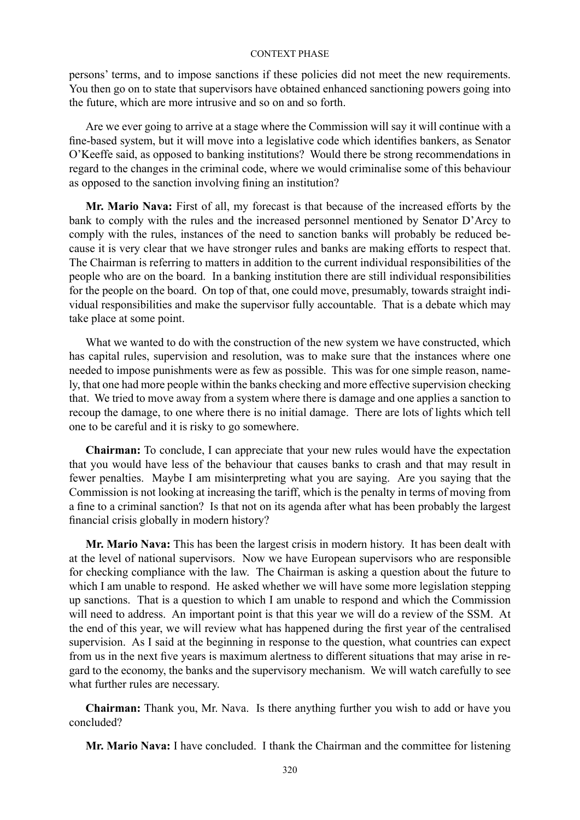persons' terms, and to impose sanctions if these policies did not meet the new requirements. You then go on to state that supervisors have obtained enhanced sanctioning powers going into the future, which are more intrusive and so on and so forth.

Are we ever going to arrive at a stage where the Commission will say it will continue with a fine-based system, but it will move into a legislative code which identifies bankers, as Senator O'Keeffe said, as opposed to banking institutions? Would there be strong recommendations in regard to the changes in the criminal code, where we would criminalise some of this behaviour as opposed to the sanction involving fining an institution?

**Mr. Mario Nava:** First of all, my forecast is that because of the increased efforts by the bank to comply with the rules and the increased personnel mentioned by Senator D'Arcy to comply with the rules, instances of the need to sanction banks will probably be reduced because it is very clear that we have stronger rules and banks are making efforts to respect that. The Chairman is referring to matters in addition to the current individual responsibilities of the people who are on the board. In a banking institution there are still individual responsibilities for the people on the board. On top of that, one could move, presumably, towards straight individual responsibilities and make the supervisor fully accountable. That is a debate which may take place at some point.

What we wanted to do with the construction of the new system we have constructed, which has capital rules, supervision and resolution, was to make sure that the instances where one needed to impose punishments were as few as possible. This was for one simple reason, namely, that one had more people within the banks checking and more effective supervision checking that. We tried to move away from a system where there is damage and one applies a sanction to recoup the damage, to one where there is no initial damage. There are lots of lights which tell one to be careful and it is risky to go somewhere.

**Chairman:** To conclude, I can appreciate that your new rules would have the expectation that you would have less of the behaviour that causes banks to crash and that may result in fewer penalties. Maybe I am misinterpreting what you are saying. Are you saying that the Commission is not looking at increasing the tariff, which is the penalty in terms of moving from a fine to a criminal sanction? Is that not on its agenda after what has been probably the largest financial crisis globally in modern history?

**Mr. Mario Nava:** This has been the largest crisis in modern history. It has been dealt with at the level of national supervisors. Now we have European supervisors who are responsible for checking compliance with the law. The Chairman is asking a question about the future to which I am unable to respond. He asked whether we will have some more legislation stepping up sanctions. That is a question to which I am unable to respond and which the Commission will need to address. An important point is that this year we will do a review of the SSM. At the end of this year, we will review what has happened during the first year of the centralised supervision. As I said at the beginning in response to the question, what countries can expect from us in the next five years is maximum alertness to different situations that may arise in regard to the economy, the banks and the supervisory mechanism. We will watch carefully to see what further rules are necessary.

**Chairman:** Thank you, Mr. Nava. Is there anything further you wish to add or have you concluded?

**Mr. Mario Nava:** I have concluded. I thank the Chairman and the committee for listening